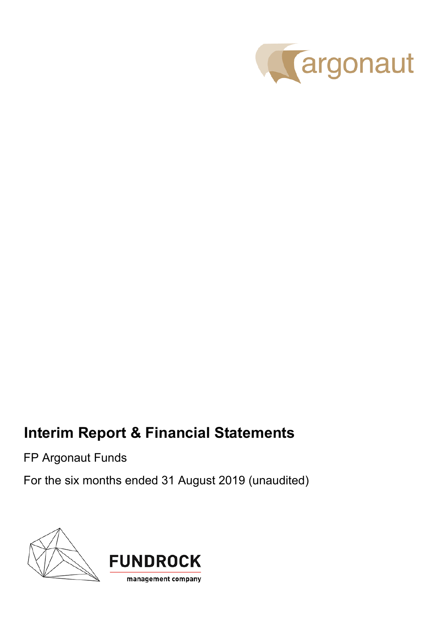

# **Interim Report & Financial Statements**

FP Argonaut Funds

For the six months ended 31 August 2019 (unaudited)

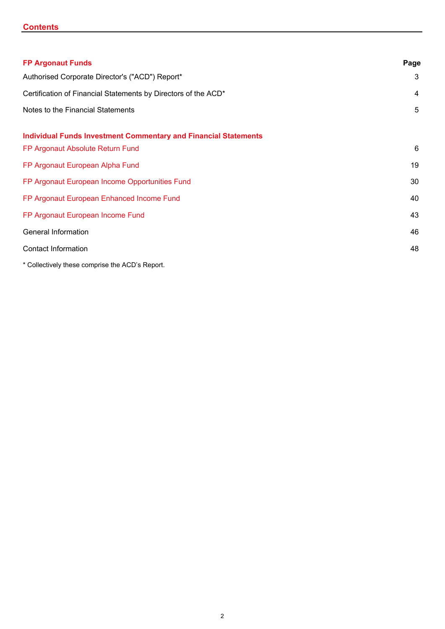# **Contents**

| <b>FP Argonaut Funds</b>                                               | Page |
|------------------------------------------------------------------------|------|
| Authorised Corporate Director's ("ACD") Report*                        | 3    |
| Certification of Financial Statements by Directors of the ACD*         | 4    |
| Notes to the Financial Statements                                      | 5    |
| <b>Individual Funds Investment Commentary and Financial Statements</b> |      |
| FP Argonaut Absolute Return Fund                                       | 6    |
| FP Argonaut European Alpha Fund                                        | 19   |
| FP Argonaut European Income Opportunities Fund                         | 30   |
| FP Argonaut European Enhanced Income Fund                              | 40   |
| FP Argonaut European Income Fund                                       | 43   |
| General Information                                                    | 46   |
| <b>Contact Information</b>                                             | 48   |
| * Collectively these comprise the ACD's Report.                        |      |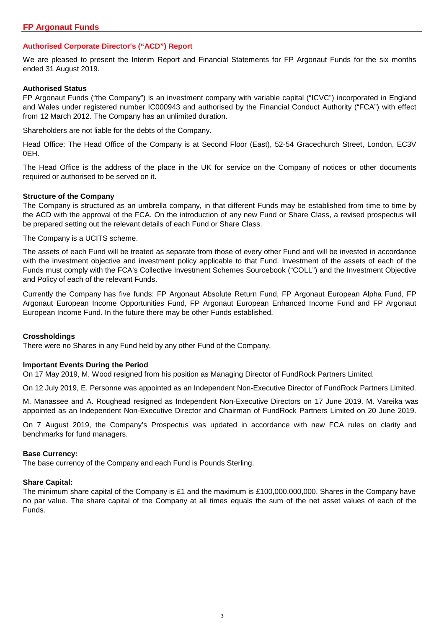# **Authorised Corporate Director's ("ACD") Report**

We are pleased to present the Interim Report and Financial Statements for FP Argonaut Funds for the six months ended 31 August 2019.

#### **Authorised Status**

FP Argonaut Funds ("the Company") is an investment company with variable capital ("ICVC") incorporated in England and Wales under registered number IC000943 and authorised by the Financial Conduct Authority ("FCA") with effect from 12 March 2012. The Company has an unlimited duration.

Shareholders are not liable for the debts of the Company.

Head Office: The Head Office of the Company is at Second Floor (East), 52-54 Gracechurch Street, London, EC3V 0EH.

The Head Office is the address of the place in the UK for service on the Company of notices or other documents required or authorised to be served on it.

#### **Structure of the Company**

The Company is structured as an umbrella company, in that different Funds may be established from time to time by the ACD with the approval of the FCA. On the introduction of any new Fund or Share Class, a revised prospectus will be prepared setting out the relevant details of each Fund or Share Class.

The Company is a UCITS scheme.

The assets of each Fund will be treated as separate from those of every other Fund and will be invested in accordance with the investment objective and investment policy applicable to that Fund. Investment of the assets of each of the Funds must comply with the FCA's Collective Investment Schemes Sourcebook ("COLL") and the Investment Objective and Policy of each of the relevant Funds.

Currently the Company has five funds: FP Argonaut Absolute Return Fund, FP Argonaut European Alpha Fund, FP Argonaut European Income Opportunities Fund, FP Argonaut European Enhanced Income Fund and FP Argonaut European Income Fund. In the future there may be other Funds established.

### **Crossholdings**

There were no Shares in any Fund held by any other Fund of the Company.

### **Important Events During the Period**

On 17 May 2019, M. Wood resigned from his position as Managing Director of FundRock Partners Limited.

On 12 July 2019, E. Personne was appointed as an Independent Non-Executive Director of FundRock Partners Limited.

M. Manassee and A. Roughead resigned as Independent Non-Executive Directors on 17 June 2019. M. Vareika was appointed as an Independent Non-Executive Director and Chairman of FundRock Partners Limited on 20 June 2019.

On 7 August 2019, the Company's Prospectus was updated in accordance with new FCA rules on clarity and benchmarks for fund managers.

#### **Base Currency:**

The base currency of the Company and each Fund is Pounds Sterling.

#### **Share Capital:**

The minimum share capital of the Company is £1 and the maximum is £100,000,000,000. Shares in the Company have no par value. The share capital of the Company at all times equals the sum of the net asset values of each of the Funds.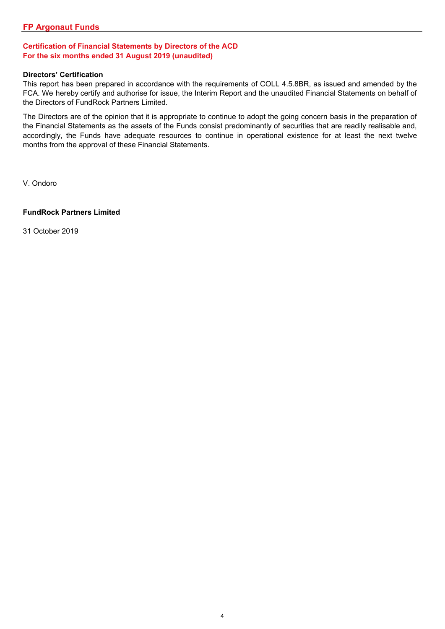# **Certification of Financial Statements by Directors of the ACD For the six months ended 31 August 2019 (unaudited)**

#### **Directors' Certification**

This report has been prepared in accordance with the requirements of COLL 4.5.8BR, as issued and amended by the FCA. We hereby certify and authorise for issue, the Interim Report and the unaudited Financial Statements on behalf of the Directors of FundRock Partners Limited.

The Directors are of the opinion that it is appropriate to continue to adopt the going concern basis in the preparation of the Financial Statements as the assets of the Funds consist predominantly of securities that are readily realisable and, accordingly, the Funds have adequate resources to continue in operational existence for at least the next twelve months from the approval of these Financial Statements.

V. Ondoro

### **FundRock Partners Limited**

31 October 2019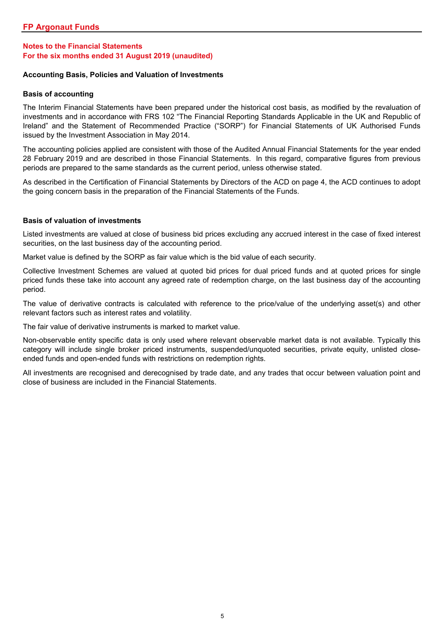# **Notes to the Financial Statements For the six months ended 31 August 2019 (unaudited)**

#### **Accounting Basis, Policies and Valuation of Investments**

#### **Basis of accounting**

The Interim Financial Statements have been prepared under the historical cost basis, as modified by the revaluation of investments and in accordance with FRS 102 "The Financial Reporting Standards Applicable in the UK and Republic of Ireland" and the Statement of Recommended Practice ("SORP") for Financial Statements of UK Authorised Funds issued by the Investment Association in May 2014.

The accounting policies applied are consistent with those of the Audited Annual Financial Statements for the year ended 28 February 2019 and are described in those Financial Statements. In this regard, comparative figures from previous periods are prepared to the same standards as the current period, unless otherwise stated.

As described in the Certification of Financial Statements by Directors of the ACD on page 4, the ACD continues to adopt the going concern basis in the preparation of the Financial Statements of the Funds.

#### **Basis of valuation of investments**

Listed investments are valued at close of business bid prices excluding any accrued interest in the case of fixed interest securities, on the last business day of the accounting period.

Market value is defined by the SORP as fair value which is the bid value of each security.

Collective Investment Schemes are valued at quoted bid prices for dual priced funds and at quoted prices for single priced funds these take into account any agreed rate of redemption charge, on the last business day of the accounting period.

The value of derivative contracts is calculated with reference to the price/value of the underlying asset(s) and other relevant factors such as interest rates and volatility.

The fair value of derivative instruments is marked to market value.

Non-observable entity specific data is only used where relevant observable market data is not available. Typically this category will include single broker priced instruments, suspended/unquoted securities, private equity, unlisted closeended funds and open-ended funds with restrictions on redemption rights.

All investments are recognised and derecognised by trade date, and any trades that occur between valuation point and close of business are included in the Financial Statements.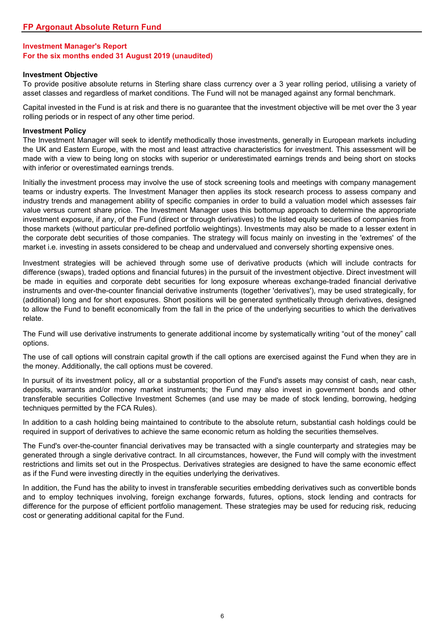#### **Investment Objective**

To provide positive absolute returns in Sterling share class currency over a 3 year rolling period, utilising a variety of asset classes and regardless of market conditions. The Fund will not be managed against any formal benchmark.

Capital invested in the Fund is at risk and there is no guarantee that the investment objective will be met over the 3 year rolling periods or in respect of any other time period.

#### **Investment Policy**

The Investment Manager will seek to identify methodically those investments, generally in European markets including the UK and Eastern Europe, with the most and least attractive characteristics for investment. This assessment will be made with a view to being long on stocks with superior or underestimated earnings trends and being short on stocks with inferior or overestimated earnings trends.

Initially the investment process may involve the use of stock screening tools and meetings with company management teams or industry experts. The Investment Manager then applies its stock research process to assess company and industry trends and management ability of specific companies in order to build a valuation model which assesses fair value versus current share price. The Investment Manager uses this bottomup approach to determine the appropriate investment exposure, if any, of the Fund (direct or through derivatives) to the listed equity securities of companies from those markets (without particular pre-defined portfolio weightings). Investments may also be made to a lesser extent in the corporate debt securities of those companies. The strategy will focus mainly on investing in the 'extremes' of the market i.e. investing in assets considered to be cheap and undervalued and conversely shorting expensive ones.

Investment strategies will be achieved through some use of derivative products (which will include contracts for difference (swaps), traded options and financial futures) in the pursuit of the investment objective. Direct investment will be made in equities and corporate debt securities for long exposure whereas exchange-traded financial derivative instruments and over-the-counter financial derivative instruments (together 'derivatives'), may be used strategically, for (additional) long and for short exposures. Short positions will be generated synthetically through derivatives, designed to allow the Fund to benefit economically from the fall in the price of the underlying securities to which the derivatives relate.

The Fund will use derivative instruments to generate additional income by systematically writing "out of the money" call options.

The use of call options will constrain capital growth if the call options are exercised against the Fund when they are in the money. Additionally, the call options must be covered.

In pursuit of its investment policy, all or a substantial proportion of the Fund's assets may consist of cash, near cash, deposits, warrants and/or money market instruments; the Fund may also invest in government bonds and other transferable securities Collective Investment Schemes (and use may be made of stock lending, borrowing, hedging techniques permitted by the FCA Rules).

In addition to a cash holding being maintained to contribute to the absolute return, substantial cash holdings could be required in support of derivatives to achieve the same economic return as holding the securities themselves.

The Fund's over-the-counter financial derivatives may be transacted with a single counterparty and strategies may be generated through a single derivative contract. In all circumstances, however, the Fund will comply with the investment restrictions and limits set out in the Prospectus. Derivatives strategies are designed to have the same economic effect as if the Fund were investing directly in the equities underlying the derivatives.

In addition, the Fund has the ability to invest in transferable securities embedding derivatives such as convertible bonds and to employ techniques involving, foreign exchange forwards, futures, options, stock lending and contracts for difference for the purpose of efficient portfolio management. These strategies may be used for reducing risk, reducing cost or generating additional capital for the Fund.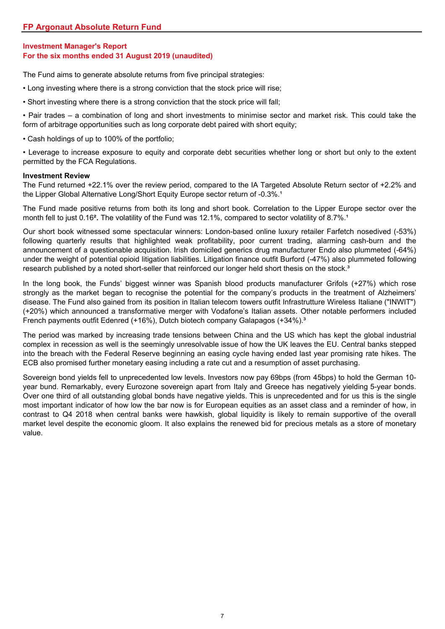The Fund aims to generate absolute returns from five principal strategies:

- Long investing where there is a strong conviction that the stock price will rise;
- Short investing where there is a strong conviction that the stock price will fall;

• Pair trades – a combination of long and short investments to minimise sector and market risk. This could take the form of arbitrage opportunities such as long corporate debt paired with short equity;

• Cash holdings of up to 100% of the portfolio;

• Leverage to increase exposure to equity and corporate debt securities whether long or short but only to the extent permitted by the FCA Regulations.

# **Investment Review**

The Fund returned +22.1% over the review period, compared to the IA Targeted Absolute Return sector of +2.2% and the Lipper Global Alternative Long/Short Equity Europe sector return of -0.3%.<sup>1</sup>

The Fund made positive returns from both its long and short book. Correlation to the Lipper Europe sector over the month fell to just 0.16<sup>2</sup>. The volatility of the Fund was 12.1%, compared to sector volatility of 8.7%.<sup>1</sup>

Our short book witnessed some spectacular winners: London-based online luxury retailer Farfetch nosedived (-53%) following quarterly results that highlighted weak profitability, poor current trading, alarming cash-burn and the announcement of a questionable acquisition. Irish domiciled generics drug manufacturer Endo also plummeted (-64%) under the weight of potential opioid litigation liabilities. Litigation finance outfit Burford (-47%) also plummeted following research published by a noted short-seller that reinforced our longer held short thesis on the stock.<sup>3</sup>

In the long book, the Funds' biggest winner was Spanish blood products manufacturer Grifols (+27%) which rose strongly as the market began to recognise the potential for the company's products in the treatment of Alzheimers' disease. The Fund also gained from its position in Italian telecom towers outfit Infrastrutture Wireless Italiane ("INWIT") (+20%) which announced a transformative merger with Vodafone's Italian assets. Other notable performers included French payments outfit Edenred (+16%), Dutch biotech company Galapagos (+34%).<sup>3</sup>

The period was marked by increasing trade tensions between China and the US which has kept the global industrial complex in recession as well is the seemingly unresolvable issue of how the UK leaves the EU. Central banks stepped into the breach with the Federal Reserve beginning an easing cycle having ended last year promising rate hikes. The ECB also promised further monetary easing including a rate cut and a resumption of asset purchasing.

Sovereign bond yields fell to unprecedented low levels. Investors now pay 69bps (from 45bps) to hold the German 10 year bund. Remarkably, every Eurozone sovereign apart from Italy and Greece has negatively yielding 5-year bonds. Over one third of all outstanding global bonds have negative yields. This is unprecedented and for us this is the single most important indicator of how low the bar now is for European equities as an asset class and a reminder of how, in contrast to Q4 2018 when central banks were hawkish, global liquidity is likely to remain supportive of the overall market level despite the economic gloom. It also explains the renewed bid for precious metals as a store of monetary value.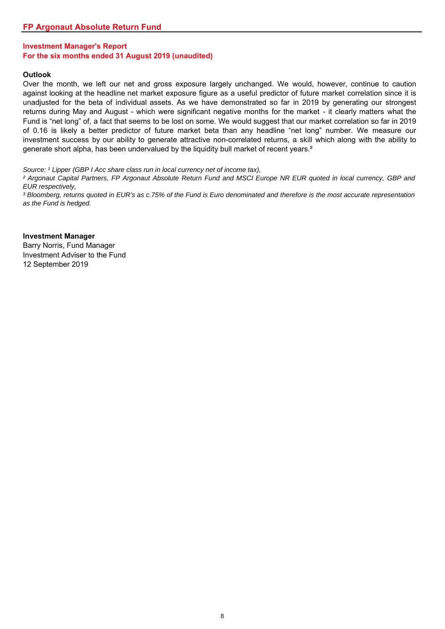#### **Outlook**

Over the month, we left our net and gross exposure largely unchanged. We would, however, continue to caution against looking at the headline net market exposure figure as a useful predictor of future market correlation since it is unadjusted for the beta of individual assets. As we have demonstrated so far in 2019 by generating our strongest returns during May and August - which were significant negative months for the market - it clearly matters what the Fund is "net long" of, a fact that seems to be lost on some. We would suggest that our market correlation so far in 2019 of 0.16 is likely a better predictor of future market beta than any headline "net long" number. We measure our investment success by our ability to generate attractive non-correlated returns, a skill which along with the ability to generate short alpha, has been undervalued by the liquidity bull market of recent years.<sup>2</sup>

*Source: <sup>1</sup> Lipper (GBP I Acc share class run in local currency net of income tax),* 

<sup>2</sup> Argonaut Capital Partners, FP Argonaut Absolute Return Fund and MSCI Europe NR EUR quoted in local currency, GBP and *EUR respectively,* 

<sup>3</sup> Bloomberg, returns quoted in EUR's as c.75% of the Fund is Euro denominated and therefore is the most accurate representation *as the Fund is hedged.*

**Investment Manager** Barry Norris, Fund Manager Investment Adviser to the Fund 12 September 2019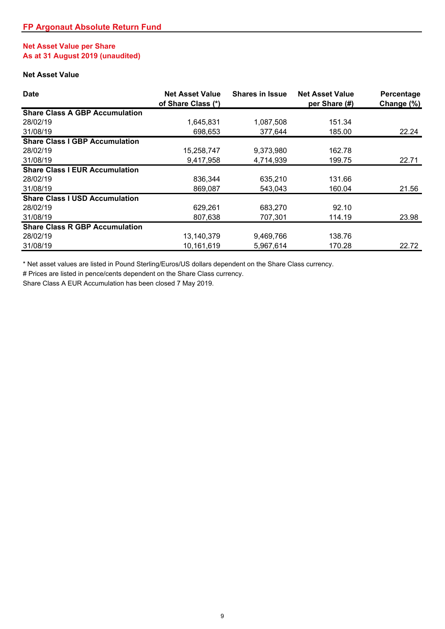# **Net Asset Value per Share As at 31 August 2019 (unaudited)**

# **Net Asset Value**

| <b>Date</b>                           | <b>Net Asset Value</b><br>of Share Class (*) | <b>Shares in Issue</b> | <b>Net Asset Value</b><br>per Share (#) | Percentage<br>Change (%) |
|---------------------------------------|----------------------------------------------|------------------------|-----------------------------------------|--------------------------|
| <b>Share Class A GBP Accumulation</b> |                                              |                        |                                         |                          |
| 28/02/19                              | 1,645,831                                    | 1,087,508              | 151.34                                  |                          |
| 31/08/19                              | 698,653                                      | 377,644                | 185.00                                  | 22.24                    |
| <b>Share Class I GBP Accumulation</b> |                                              |                        |                                         |                          |
| 28/02/19                              | 15,258,747                                   | 9,373,980              | 162.78                                  |                          |
| 31/08/19                              | 9,417,958                                    | 4,714,939              | 199.75                                  | 22.71                    |
| <b>Share Class I EUR Accumulation</b> |                                              |                        |                                         |                          |
| 28/02/19                              | 836,344                                      | 635,210                | 131.66                                  |                          |
| 31/08/19                              | 869,087                                      | 543,043                | 160.04                                  | 21.56                    |
| <b>Share Class I USD Accumulation</b> |                                              |                        |                                         |                          |
| 28/02/19                              | 629,261                                      | 683.270                | 92.10                                   |                          |
| 31/08/19                              | 807,638                                      | 707,301                | 114.19                                  | 23.98                    |
| <b>Share Class R GBP Accumulation</b> |                                              |                        |                                         |                          |
| 28/02/19                              | 13,140,379                                   | 9,469,766              | 138.76                                  |                          |
| 31/08/19                              | 10,161,619                                   | 5.967.614              | 170.28                                  | 22.72                    |

\* Net asset values are listed in Pound Sterling/Euros/US dollars dependent on the Share Class currency.

# Prices are listed in pence/cents dependent on the Share Class currency.

Share Class A EUR Accumulation has been closed 7 May 2019.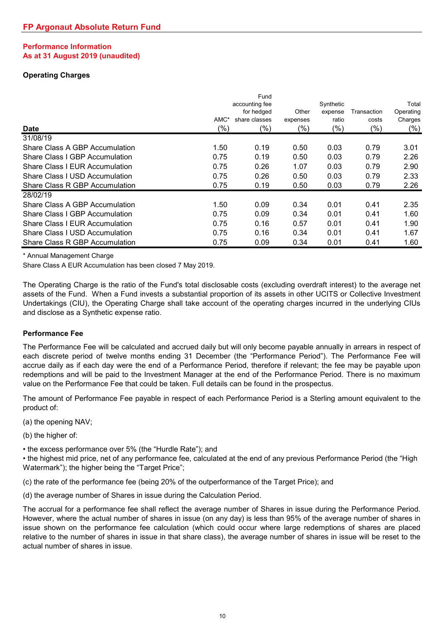# **Performance Information As at 31 August 2019 (unaudited)**

# **Operating Charges**

| <b>Date</b>                           | AMC*<br>(%) | Fund<br>accounting fee<br>for hedged<br>share classes<br>(%) | Other<br>expenses<br>(%) | Synthetic<br>expense<br>ratio<br>(%) | Transaction<br>costs<br>(%) | Total<br>Operating<br>Charges<br>$(\%)$ |
|---------------------------------------|-------------|--------------------------------------------------------------|--------------------------|--------------------------------------|-----------------------------|-----------------------------------------|
| 31/08/19                              |             |                                                              |                          |                                      |                             |                                         |
| Share Class A GBP Accumulation        | 1.50        | 0.19                                                         | 0.50                     | 0.03                                 | 0.79                        | 3.01                                    |
| Share Class I GBP Accumulation        | 0.75        | 0.19                                                         | 0.50                     | 0.03                                 | 0.79                        | 2.26                                    |
| <b>Share Class I EUR Accumulation</b> | 0.75        | 0.26                                                         | 1.07                     | 0.03                                 | 0.79                        | 2.90                                    |
| <b>Share Class I USD Accumulation</b> | 0.75        | 0.26                                                         | 0.50                     | 0.03                                 | 0.79                        | 2.33                                    |
| Share Class R GBP Accumulation        | 0.75        | 0.19                                                         | 0.50                     | 0.03                                 | 0.79                        | 2.26                                    |
| 28/02/19                              |             |                                                              |                          |                                      |                             |                                         |
| Share Class A GBP Accumulation        | 1.50        | 0.09                                                         | 0.34                     | 0.01                                 | 0.41                        | 2.35                                    |
| Share Class I GBP Accumulation        | 0.75        | 0.09                                                         | 0.34                     | 0.01                                 | 0.41                        | 1.60                                    |
| Share Class I EUR Accumulation        | 0.75        | 0.16                                                         | 0.57                     | 0.01                                 | 0.41                        | 1.90                                    |
| Share Class I USD Accumulation        | 0.75        | 0.16                                                         | 0.34                     | 0.01                                 | 0.41                        | 1.67                                    |
| Share Class R GBP Accumulation        | 0.75        | 0.09                                                         | 0.34                     | 0.01                                 | 0.41                        | 1.60                                    |

\* Annual Management Charge

Share Class A EUR Accumulation has been closed 7 May 2019.

The Operating Charge is the ratio of the Fund's total disclosable costs (excluding overdraft interest) to the average net assets of the Fund. When a Fund invests a substantial proportion of its assets in other UCITS or Collective Investment Undertakings (CIU), the Operating Charge shall take account of the operating charges incurred in the underlying CIUs and disclose as a Synthetic expense ratio.

### **Performance Fee**

The Performance Fee will be calculated and accrued daily but will only become payable annually in arrears in respect of each discrete period of twelve months ending 31 December (the "Performance Period"). The Performance Fee will accrue daily as if each day were the end of a Performance Period, therefore if relevant; the fee may be payable upon redemptions and will be paid to the Investment Manager at the end of the Performance Period. There is no maximum value on the Performance Fee that could be taken. Full details can be found in the prospectus.

The amount of Performance Fee payable in respect of each Performance Period is a Sterling amount equivalent to the product of:

(a) the opening NAV;

(b) the higher of:

• the excess performance over 5% (the "Hurdle Rate"); and

• the highest mid price, net of any performance fee, calculated at the end of any previous Performance Period (the "High Watermark"); the higher being the "Target Price";

(c) the rate of the performance fee (being 20% of the outperformance of the Target Price); and

(d) the average number of Shares in issue during the Calculation Period.

The accrual for a performance fee shall reflect the average number of Shares in issue during the Performance Period. However, where the actual number of shares in issue (on any day) is less than 95% of the average number of shares in issue shown on the performance fee calculation (which could occur where large redemptions of shares are placed relative to the number of shares in issue in that share class), the average number of shares in issue will be reset to the actual number of shares in issue.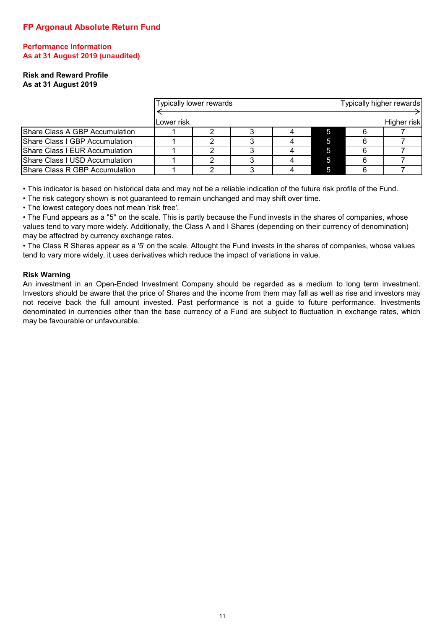# **Performance Information As at 31 August 2019 (unaudited)**

#### **Risk and Reward Profile As at 31 August 2019**

|                                |            | Typically lower rewards |  |   | Typically higher rewards |
|--------------------------------|------------|-------------------------|--|---|--------------------------|
|                                | Lower risk |                         |  |   | Higher risk              |
|                                |            |                         |  |   |                          |
| Share Class A GBP Accumulation |            |                         |  |   |                          |
| Share Class I GBP Accumulation |            |                         |  |   |                          |
| Share Class I EUR Accumulation |            |                         |  | ь |                          |
| Share Class I USD Accumulation |            |                         |  | 5 |                          |
| Share Class R GBP Accumulation |            |                         |  | ь |                          |

• This indicator is based on historical data and may not be a reliable indication of the future risk profile of the Fund.

• The risk category shown is not guaranteed to remain unchanged and may shift over time.

• The lowest category does not mean 'risk free'.

• The Fund appears as a ''5'' on the scale. This is partly because the Fund invests in the shares of companies, whose values tend to vary more widely. Additionally, the Class A and I Shares (depending on their currency of denomination) may be affectred by currency exchange rates.

• The Class R Shares appear as a '5' on the scale. Altought the Fund invests in the shares of companies, whose values tend to vary more widely, it uses derivatives which reduce the impact of variations in value.

### **Risk Warning**

An investment in an Open-Ended Investment Company should be regarded as a medium to long term investment. Investors should be aware that the price of Shares and the income from them may fall as well as rise and investors may not receive back the full amount invested. Past performance is not a guide to future performance. Investments denominated in currencies other than the base currency of a Fund are subject to fluctuation in exchange rates, which may be favourable or unfavourable.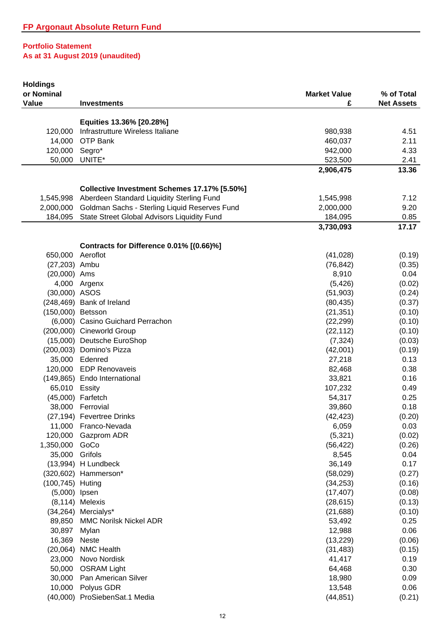| <b>Holdings</b><br>or Nominal |                                                         | <b>Market Value</b> | % of Total        |
|-------------------------------|---------------------------------------------------------|---------------------|-------------------|
| Value                         | <b>Investments</b>                                      | £                   | <b>Net Assets</b> |
|                               |                                                         |                     |                   |
|                               | Equities 13.36% [20.28%]                                |                     |                   |
| 120,000                       | Infrastrutture Wireless Italiane                        | 980,938             | 4.51              |
| 14,000                        | OTP Bank                                                | 460,037             | 2.11              |
| 120,000                       | Segro*                                                  | 942,000             | 4.33              |
| 50,000                        | UNITE*                                                  | 523,500             | 2.41              |
|                               |                                                         | 2,906,475           | 13.36             |
|                               | Collective Investment Schemes 17.17% [5.50%]            |                     |                   |
|                               | 1,545,998 Aberdeen Standard Liquidity Sterling Fund     | 1,545,998           | 7.12              |
|                               | 2,000,000 Goldman Sachs - Sterling Liquid Reserves Fund | 2,000,000           | 9.20              |
|                               | 184,095 State Street Global Advisors Liquidity Fund     | 184,095             | 0.85              |
|                               |                                                         | 3,730,093           | 17.17             |
|                               | Contracts for Difference 0.01% [(0.66)%]                |                     |                   |
| 650,000                       | Aeroflot                                                | (41, 028)           | (0.19)            |
| (27,203) Ambu                 |                                                         | (76, 842)           | (0.35)            |
| (20,000) Ams                  |                                                         | 8,910               | 0.04              |
| 4,000                         | Argenx                                                  | (5, 426)            | (0.02)            |
| (30,000) ASOS                 |                                                         | (51,903)            | (0.24)            |
|                               | (248,469) Bank of Ireland                               | (80, 435)           | (0.37)            |
| (150,000) Betsson             |                                                         | (21, 351)           | (0.10)            |
|                               | (6,000) Casino Guichard Perrachon                       | (22, 299)           | (0.10)            |
|                               | (200,000) Cineworld Group                               | (22, 112)           | (0.10)            |
|                               | (15,000) Deutsche EuroShop                              | (7, 324)            | (0.03)            |
|                               | (200,003) Domino's Pizza                                | (42,001)            | (0.19)            |
|                               | 35,000 Edenred                                          | 27,218              | 0.13              |
|                               | 120,000 EDP Renovaveis                                  | 82,468              | 0.38              |
|                               | (149,865) Endo International                            | 33,821              | 0.16              |
| 65,010 Essity                 |                                                         | 107,232             | 0.49              |
|                               | (45,000) Farfetch                                       | 54,317              | 0.25              |
| 38,000                        | Ferrovial                                               | 39,860              | 0.18              |
|                               | (27,194) Fevertree Drinks                               | (42, 423)           | (0.20)            |
|                               | 11,000 Franco-Nevada                                    | 6,059               | 0.03              |
|                               | 120,000 Gazprom ADR                                     | (5, 321)            | (0.02)            |
| 1,350,000                     | GoCo                                                    | (56, 422)           | (0.26)            |
| 35,000                        | Grifols                                                 | 8,545               | 0.04              |
|                               | (13,994) H Lundbeck                                     | 36,149              | 0.17              |
|                               | (320,602) Hammerson*                                    | (58,029)            | (0.27)            |
| (100,745) Huting              |                                                         | (34, 253)           | (0.16)            |
| (5,000) lpsen                 |                                                         | (17, 407)           | (0.08)            |
|                               | $(8, 114)$ Melexis                                      | (28, 615)           | (0.13)            |
|                               | (34,264) Mercialys*                                     | (21, 688)           | (0.10)            |
| 89,850                        | <b>MMC Norilsk Nickel ADR</b>                           | 53,492              | 0.25              |
| 30,897                        | Mylan                                                   | 12,988              | 0.06              |
|                               |                                                         |                     |                   |
| 16,369<br>(20,064)            | <b>Neste</b><br><b>NMC Health</b>                       | (13, 229)           | (0.06)            |
| 23,000                        | Novo Nordisk                                            | (31, 483)<br>41,417 | (0.15)<br>0.19    |
| 50,000                        | <b>OSRAM Light</b>                                      | 64,468              | 0.30              |
|                               |                                                         |                     |                   |
| 30,000<br>10,000              | Pan American Silver<br>Polyus GDR                       | 18,980              | 0.09              |
|                               | (40,000) ProSiebenSat.1 Media                           | 13,548              | 0.06              |
|                               |                                                         | (44, 851)           | (0.21)            |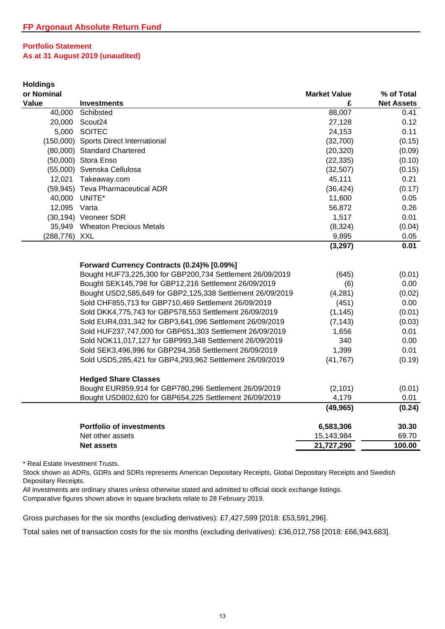| <b>Holdings</b> |                                                            |                     |                   |
|-----------------|------------------------------------------------------------|---------------------|-------------------|
| or Nominal      |                                                            | <b>Market Value</b> | % of Total        |
| Value           | <b>Investments</b>                                         | £                   | <b>Net Assets</b> |
| 40,000          | Schibsted                                                  | 88,007              | 0.41              |
| 20,000          | Scout24                                                    | 27,128              | 0.12              |
|                 | 5,000 SOITEC                                               | 24,153              | 0.11              |
|                 | (150,000) Sports Direct International                      | (32,700)            | (0.15)            |
|                 | (80,000) Standard Chartered                                | (20, 320)           | (0.09)            |
|                 | (50,000) Stora Enso                                        | (22, 335)           | (0.10)            |
|                 | (55,000) Svenska Cellulosa                                 | (32, 507)           | (0.15)            |
| 12,021          | Takeaway.com                                               | 45,111              | 0.21              |
|                 | (59,945) Teva Pharmaceutical ADR                           | (36, 424)           | (0.17)            |
|                 | 40,000 UNITE*                                              | 11,600              | 0.05              |
| 12,095 Varta    |                                                            | 56,872              | 0.26              |
|                 | (30,194) Veoneer SDR                                       | 1,517               | 0.01              |
| 35,949          | <b>Wheaton Precious Metals</b>                             | (8, 324)            | (0.04)            |
| (288,776) XXL   |                                                            | 9,895               | 0.05              |
|                 |                                                            | (3, 297)            | 0.01              |
|                 |                                                            |                     |                   |
|                 | Forward Currency Contracts (0.24)% [0.09%]                 |                     |                   |
|                 | Bought HUF73,225,300 for GBP200,734 Settlement 26/09/2019  | (645)               | (0.01)            |
|                 | Bought SEK145,798 for GBP12,216 Settlement 26/09/2019      | (6)                 | 0.00              |
|                 | Bought USD2,585,649 for GBP2,125,338 Settlement 26/09/2019 | (4, 281)            | (0.02)            |
|                 | Sold CHF855,713 for GBP710,469 Settlement 26/09/2019       | (451)               | 0.00              |
|                 | Sold DKK4,775,743 for GBP578,553 Settlement 26/09/2019     | (1, 145)            | (0.01)            |
|                 | Sold EUR4,031,342 for GBP3,641,096 Settlement 26/09/2019   | (7, 143)            | (0.03)            |
|                 | Sold HUF237,747,000 for GBP651,303 Settlement 26/09/2019   | 1,656               | 0.01              |
|                 | Sold NOK11,017,127 for GBP993,348 Settlement 26/09/2019    | 340                 | 0.00              |
|                 | Sold SEK3,496,996 for GBP294,358 Settlement 26/09/2019     | 1,399               | 0.01              |
|                 | Sold USD5,285,421 for GBP4,293,962 Settlement 26/09/2019   | (41, 767)           | (0.19)            |
|                 | <b>Hedged Share Classes</b>                                |                     |                   |
|                 | Bought EUR859,914 for GBP780,296 Settlement 26/09/2019     | (2, 101)            | (0.01)            |
|                 | Bought USD802,620 for GBP654,225 Settlement 26/09/2019     | 4,179               | 0.01              |
|                 |                                                            | (49, 965)           | (0.24)            |
|                 | <b>Portfolio of investments</b>                            | 6,583,306           | 30.30             |
|                 | Net other assets                                           | 15,143,984          | 69.70             |
|                 | <b>Net assets</b>                                          | 21,727,290          | 100.00            |

\* Real Estate Investment Trusts.

Stock shown as ADRs, GDRs and SDRs represents American Depositary Receipts, Global Depositary Receipts and Swedish Depositary Receipts.

All investments are ordinary shares unless otherwise stated and admitted to official stock exchange listings.

Comparative figures shown above in square brackets relate to 28 February 2019.

Gross purchases for the six months (excluding derivatives): £7,427,599 [2018: £53,591,296].

Total sales net of transaction costs for the six months (excluding derivatives): £36,012,758 [2018: £66,943,683].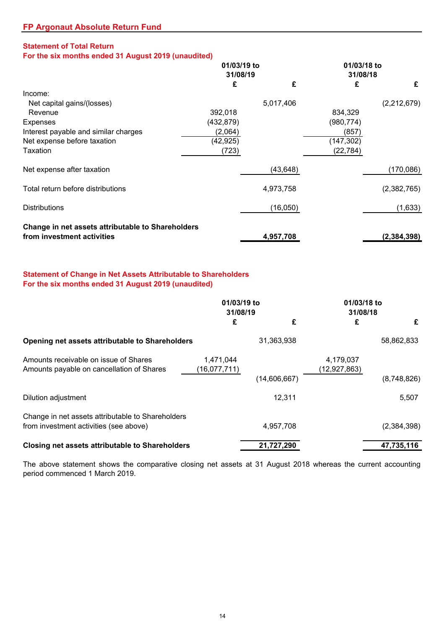# **Statement of Total Return**

**For the six months ended 31 August 2019 (unaudited)**

|                                                   | 01/03/19 to |           | 01/03/18 to<br>31/08/18 |               |  |
|---------------------------------------------------|-------------|-----------|-------------------------|---------------|--|
|                                                   | 31/08/19    |           |                         |               |  |
|                                                   | £           | £         | £                       | £             |  |
| Income:                                           |             |           |                         |               |  |
| Net capital gains/(losses)                        |             | 5,017,406 |                         | (2,212,679)   |  |
| Revenue                                           | 392,018     |           | 834,329                 |               |  |
| Expenses                                          | (432, 879)  |           | (980,774)               |               |  |
| Interest payable and similar charges              | (2,064)     |           | (857)                   |               |  |
| Net expense before taxation                       | (42, 925)   |           | (147, 302)              |               |  |
| Taxation                                          | (723)       |           | (22, 784)               |               |  |
| Net expense after taxation                        |             | (43, 648) |                         | (170,086)     |  |
| Total return before distributions                 |             | 4,973,758 |                         | (2,382,765)   |  |
| <b>Distributions</b>                              |             | (16,050)  |                         | (1,633)       |  |
| Change in net assets attributable to Shareholders |             |           |                         |               |  |
| from investment activities                        |             | 4,957,708 |                         | (2, 384, 398) |  |

# **Statement of Change in Net Assets Attributable to Shareholders For the six months ended 31 August 2019 (unaudited)**

|                                                                                             | 01/03/19 to<br>31/08/19   |              | 01/03/18 to<br>31/08/18   |             |
|---------------------------------------------------------------------------------------------|---------------------------|--------------|---------------------------|-------------|
|                                                                                             | £                         | £            | £                         | £           |
| Opening net assets attributable to Shareholders                                             |                           | 31,363,938   |                           | 58,862,833  |
| Amounts receivable on issue of Shares<br>Amounts payable on cancellation of Shares          | 1,471,044<br>(16,077,711) |              | 4,179,037<br>(12,927,863) |             |
|                                                                                             |                           | (14,606,667) |                           | (8,748,826) |
| Dilution adjustment                                                                         |                           | 12,311       |                           | 5,507       |
| Change in net assets attributable to Shareholders<br>from investment activities (see above) |                           | 4,957,708    |                           | (2,384,398) |
| <b>Closing net assets attributable to Shareholders</b>                                      |                           | 21,727,290   |                           | 47,735,116  |

The above statement shows the comparative closing net assets at 31 August 2018 whereas the current accounting period commenced 1 March 2019.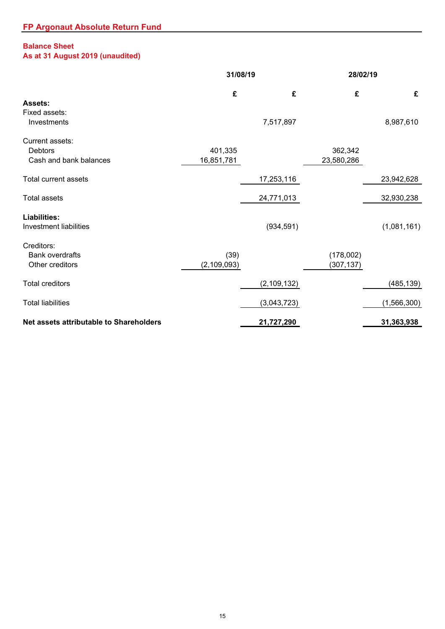# **Balance Sheet**

# **As at 31 August 2019 (unaudited)**

|                                                             | 31/08/19              |                | 28/02/19                |                |  |
|-------------------------------------------------------------|-----------------------|----------------|-------------------------|----------------|--|
| Assets:<br>Fixed assets:<br>Investments                     | £                     | £<br>7,517,897 | £                       | £<br>8,987,610 |  |
| Current assets:<br><b>Debtors</b><br>Cash and bank balances | 401,335<br>16,851,781 |                | 362,342<br>23,580,286   |                |  |
| <b>Total current assets</b>                                 |                       | 17,253,116     |                         | 23,942,628     |  |
| <b>Total assets</b>                                         |                       | 24,771,013     |                         | 32,930,238     |  |
| Liabilities:<br><b>Investment liabilities</b>               |                       | (934, 591)     |                         | (1,081,161)    |  |
| Creditors:<br><b>Bank overdrafts</b><br>Other creditors     | (39)<br>(2, 109, 093) |                | (178,002)<br>(307, 137) |                |  |
| <b>Total creditors</b>                                      |                       | (2, 109, 132)  |                         | (485, 139)     |  |
| <b>Total liabilities</b>                                    |                       | (3,043,723)    |                         | (1,566,300)    |  |
| Net assets attributable to Shareholders                     |                       | 21,727,290     |                         | 31,363,938     |  |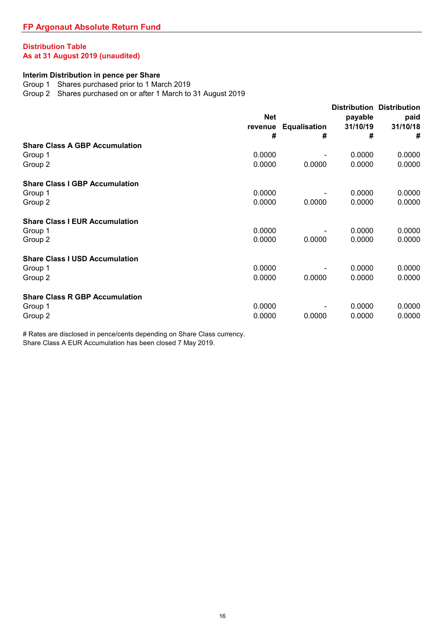# **Distribution Table As at 31 August 2019 (unaudited)**

#### **Interim Distribution in pence per Share**

Group 1 Shares purchased prior to 1 March 2019

Group 2 Shares purchased on or after 1 March to 31 August 2019

|                                       | <b>Net</b> |                     | payable  | <b>Distribution Distribution</b><br>paid |
|---------------------------------------|------------|---------------------|----------|------------------------------------------|
|                                       | revenue    | <b>Equalisation</b> | 31/10/19 | 31/10/18                                 |
|                                       | #          | #                   | #        | #                                        |
| <b>Share Class A GBP Accumulation</b> |            |                     |          |                                          |
| Group 1                               | 0.0000     |                     | 0.0000   | 0.0000                                   |
| Group 2                               | 0.0000     | 0.0000              | 0.0000   | 0.0000                                   |
| <b>Share Class I GBP Accumulation</b> |            |                     |          |                                          |
| Group 1                               | 0.0000     |                     | 0.0000   | 0.0000                                   |
| Group 2                               | 0.0000     | 0.0000              | 0.0000   | 0.0000                                   |
| <b>Share Class I EUR Accumulation</b> |            |                     |          |                                          |
| Group 1                               | 0.0000     |                     | 0.0000   | 0.0000                                   |
| Group 2                               | 0.0000     | 0.0000              | 0.0000   | 0.0000                                   |
| <b>Share Class I USD Accumulation</b> |            |                     |          |                                          |
| Group 1                               | 0.0000     |                     | 0.0000   | 0.0000                                   |
| Group 2                               | 0.0000     | 0.0000              | 0.0000   | 0.0000                                   |
| <b>Share Class R GBP Accumulation</b> |            |                     |          |                                          |
| Group 1                               | 0.0000     |                     | 0.0000   | 0.0000                                   |
| Group 2                               | 0.0000     | 0.0000              | 0.0000   | 0.0000                                   |

# Rates are disclosed in pence/cents depending on Share Class currency. Share Class A EUR Accumulation has been closed 7 May 2019.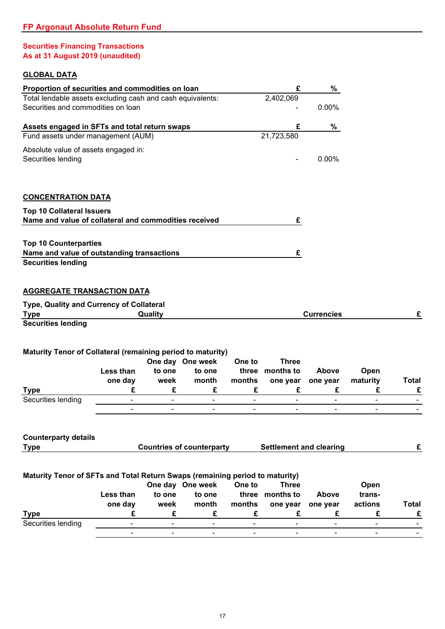# **Securities Financing Transactions As at 31 August 2019 (unaudited)**

# **GLOBAL DATA**

| Proportion of securities and commodities on loan                             |                          |                          |                                  |                              | £                              | %                            |                              |                          |
|------------------------------------------------------------------------------|--------------------------|--------------------------|----------------------------------|------------------------------|--------------------------------|------------------------------|------------------------------|--------------------------|
| Total lendable assets excluding cash and cash equivalents:                   |                          |                          |                                  |                              | 2,402,069                      |                              |                              |                          |
| Securities and commodities on loan                                           |                          |                          |                                  |                              |                                | 0.00%                        |                              |                          |
| Assets engaged in SFTs and total return swaps                                |                          |                          |                                  |                              | £                              | %                            |                              |                          |
| Fund assets under management (AUM)                                           |                          |                          |                                  |                              | 21,723,580                     |                              |                              |                          |
| Absolute value of assets engaged in:                                         |                          |                          |                                  |                              |                                |                              |                              |                          |
| Securities lending                                                           |                          |                          |                                  |                              |                                | 0.00%                        |                              |                          |
| <b>CONCENTRATION DATA</b>                                                    |                          |                          |                                  |                              |                                |                              |                              |                          |
| <b>Top 10 Collateral Issuers</b>                                             |                          |                          |                                  |                              |                                |                              |                              |                          |
| Name and value of collateral and commodities received                        |                          |                          |                                  |                              | £                              |                              |                              |                          |
|                                                                              |                          |                          |                                  |                              |                                |                              |                              |                          |
| <b>Top 10 Counterparties</b>                                                 |                          |                          |                                  |                              |                                |                              |                              |                          |
| Name and value of outstanding transactions                                   |                          |                          |                                  |                              | £                              |                              |                              |                          |
| <b>Securities lending</b>                                                    |                          |                          |                                  |                              |                                |                              |                              |                          |
| <b>AGGREGATE TRANSACTION DATA</b>                                            |                          |                          |                                  |                              |                                |                              |                              |                          |
| Type, Quality and Currency of Collateral                                     |                          |                          |                                  |                              |                                |                              |                              |                          |
| <b>Type</b>                                                                  |                          | Quality                  |                                  |                              |                                | <b>Currencies</b>            |                              | £                        |
| <b>Securities lending</b>                                                    |                          |                          |                                  |                              |                                |                              |                              |                          |
|                                                                              |                          |                          |                                  |                              |                                |                              |                              |                          |
| Maturity Tenor of Collateral (remaining period to maturity)                  |                          |                          |                                  |                              |                                |                              |                              |                          |
|                                                                              |                          |                          | One day One week                 | One to                       | <b>Three</b>                   |                              |                              |                          |
|                                                                              | Less than                | to one                   | to one                           | three                        | months to                      | <b>Above</b>                 | Open                         |                          |
|                                                                              | one day                  | week                     | month                            | months                       | one year                       | one year                     | maturity                     | Total                    |
| <b>Type</b>                                                                  | £                        | £                        | £                                | £                            | £                              | £                            | £                            | £                        |
| Securities lending                                                           | $\overline{\phantom{a}}$ | $\overline{\phantom{a}}$ | $\overline{\phantom{0}}$         | $\qquad \qquad \blacksquare$ | $\overline{\phantom{a}}$       | $\qquad \qquad \blacksquare$ | $\qquad \qquad \blacksquare$ |                          |
|                                                                              | $\overline{\phantom{a}}$ | $\overline{\phantom{a}}$ | $\blacksquare$                   | $\blacksquare$               | $\overline{\phantom{a}}$       | $\blacksquare$               | $\overline{\phantom{a}}$     |                          |
| <b>Counterparty details</b>                                                  |                          |                          |                                  |                              |                                |                              |                              |                          |
| <b>Type</b>                                                                  |                          |                          | <b>Countries of counterparty</b> |                              | <b>Settlement and clearing</b> |                              |                              | £                        |
|                                                                              |                          |                          |                                  |                              |                                |                              |                              |                          |
|                                                                              |                          |                          |                                  |                              |                                |                              |                              |                          |
| Maturity Tenor of SFTs and Total Return Swaps (remaining period to maturity) |                          |                          | One day One week                 | One to                       | <b>Three</b>                   |                              |                              |                          |
|                                                                              | Less than                | to one                   | to one                           | three                        | months to                      | <b>Above</b>                 | Open<br>trans-               |                          |
|                                                                              | one day                  | week                     | month                            | months                       | one year                       | one year                     | actions                      | Total                    |
| <b>Type</b>                                                                  | £                        | £                        | £                                | £                            | £                              | £                            | £                            | £                        |
| Securities lending                                                           | $\blacksquare$           | $\blacksquare$           | $\blacksquare$                   | $\blacksquare$               | $\blacksquare$                 | $\blacksquare$               | $\blacksquare$               | $\overline{\phantom{a}}$ |
|                                                                              |                          | $\blacksquare$           | $\blacksquare$                   | $\blacksquare$               | $\blacksquare$                 | $\blacksquare$               | $\blacksquare$               | $\blacksquare$           |
|                                                                              |                          |                          |                                  |                              |                                |                              |                              |                          |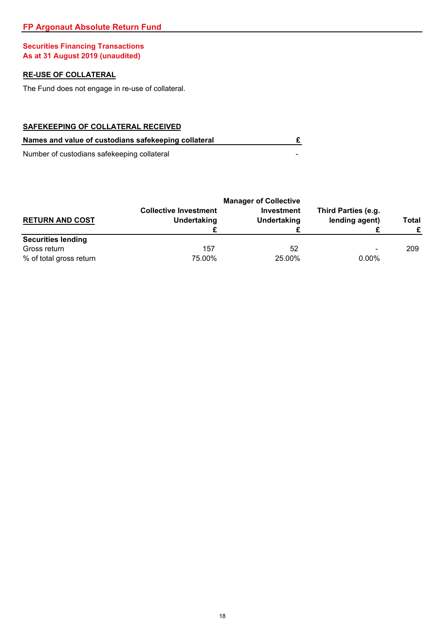# **FP Argonaut Absolute Return Fund**

# **Securities Financing Transactions As at 31 August 2019 (unaudited)**

# **RE-USE OF COLLATERAL**

The Fund does not engage in re-use of collateral.

# **SAFEKEEPING OF COLLATERAL RECEIVED**

| Names and value of custodians safekeeping collateral |  |
|------------------------------------------------------|--|
|                                                      |  |

Number of custodians safekeeping collateral

| <b>RETURN AND COST</b>    | <b>Collective Investment</b><br>Undertaking | <b>Manager of Collective</b><br>Investment<br><b>Undertaking</b> | Third Parties (e.g.<br>lending agent) | Total |
|---------------------------|---------------------------------------------|------------------------------------------------------------------|---------------------------------------|-------|
| <b>Securities lending</b> |                                             |                                                                  |                                       |       |
| Gross return              | 157                                         | 52                                                               | $\overline{\phantom{0}}$              | 209   |
| % of total gross return   | 75.00%                                      | 25.00%                                                           | $0.00\%$                              |       |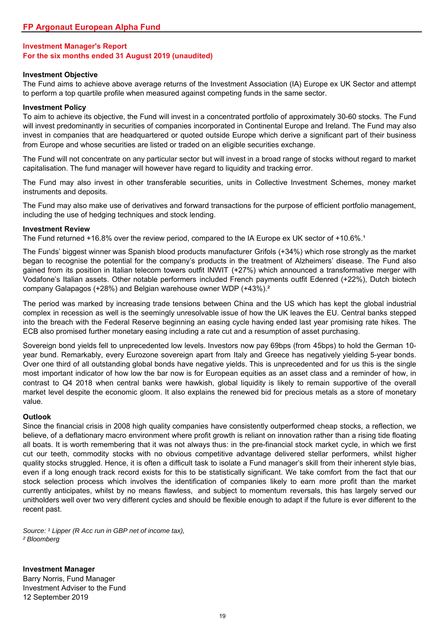### **Investment Objective**

The Fund aims to achieve above average returns of the Investment Association (IA) Europe ex UK Sector and attempt to perform a top quartile profile when measured against competing funds in the same sector.

#### **Investment Policy**

To aim to achieve its objective, the Fund will invest in a concentrated portfolio of approximately 30-60 stocks. The Fund will invest predominantly in securities of companies incorporated in Continental Europe and Ireland. The Fund may also invest in companies that are headquartered or quoted outside Europe which derive a significant part of their business from Europe and whose securities are listed or traded on an eligible securities exchange.

The Fund will not concentrate on any particular sector but will invest in a broad range of stocks without regard to market capitalisation. The fund manager will however have regard to liquidity and tracking error.

The Fund may also invest in other transferable securities, units in Collective Investment Schemes, money market instruments and deposits.

The Fund may also make use of derivatives and forward transactions for the purpose of efficient portfolio management, including the use of hedging techniques and stock lending.

#### **Investment Review**

The Fund returned  $+16.8\%$  over the review period, compared to the IA Europe ex UK sector of  $+10.6\%$ .

The Funds' biggest winner was Spanish blood products manufacturer Grifols (+34%) which rose strongly as the market began to recognise the potential for the company's products in the treatment of Alzheimers' disease. The Fund also gained from its position in Italian telecom towers outfit INWIT (+27%) which announced a transformative merger with Vodafone's Italian assets. Other notable performers included French payments outfit Edenred (+22%), Dutch biotech company Galapagos (+28%) and Belgian warehouse owner WDP (+43%).²

The period was marked by increasing trade tensions between China and the US which has kept the global industrial complex in recession as well is the seemingly unresolvable issue of how the UK leaves the EU. Central banks stepped into the breach with the Federal Reserve beginning an easing cycle having ended last year promising rate hikes. The ECB also promised further monetary easing including a rate cut and a resumption of asset purchasing.

Sovereign bond yields fell to unprecedented low levels. Investors now pay 69bps (from 45bps) to hold the German 10 year bund. Remarkably, every Eurozone sovereign apart from Italy and Greece has negatively yielding 5-year bonds. Over one third of all outstanding global bonds have negative yields. This is unprecedented and for us this is the single most important indicator of how low the bar now is for European equities as an asset class and a reminder of how, in contrast to Q4 2018 when central banks were hawkish, global liquidity is likely to remain supportive of the overall market level despite the economic gloom. It also explains the renewed bid for precious metals as a store of monetary value.

### **Outlook**

Since the financial crisis in 2008 high quality companies have consistently outperformed cheap stocks, a reflection, we believe, of a deflationary macro environment where profit growth is reliant on innovation rather than a rising tide floating all boats. It is worth remembering that it was not always thus: in the pre-financial stock market cycle, in which we first cut our teeth, commodity stocks with no obvious competitive advantage delivered stellar performers, whilst higher quality stocks struggled. Hence, it is often a difficult task to isolate a Fund manager's skill from their inherent style bias, even if a long enough track record exists for this to be statistically significant. We take comfort from the fact that our stock selection process which involves the identification of companies likely to earn more profit than the market currently anticipates, whilst by no means flawless, and subject to momentum reversals, this has largely served our unitholders well over two very different cycles and should be flexible enough to adapt if the future is ever different to the recent past.

Source: <sup>1</sup> Lipper (R Acc run in GBP net of income tax), *² Bloomberg*

**Investment Manager** Barry Norris, Fund Manager Investment Adviser to the Fund 12 September 2019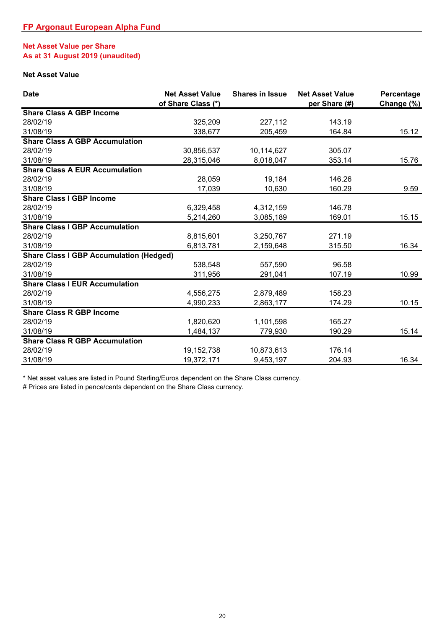# **Net Asset Value per Share As at 31 August 2019 (unaudited)**

# **Net Asset Value**

| <b>Date</b>                                    | <b>Net Asset Value</b><br>of Share Class (*) | <b>Shares in Issue</b> | <b>Net Asset Value</b><br>per Share (#) | Percentage<br>Change (%) |
|------------------------------------------------|----------------------------------------------|------------------------|-----------------------------------------|--------------------------|
| <b>Share Class A GBP Income</b>                |                                              |                        |                                         |                          |
| 28/02/19                                       | 325,209                                      | 227,112                | 143.19                                  |                          |
| 31/08/19                                       | 338,677                                      | 205,459                | 164.84                                  | 15.12                    |
| <b>Share Class A GBP Accumulation</b>          |                                              |                        |                                         |                          |
| 28/02/19                                       | 30,856,537                                   | 10,114,627             | 305.07                                  |                          |
| 31/08/19                                       | 28,315,046                                   | 8,018,047              | 353.14                                  | 15.76                    |
| <b>Share Class A EUR Accumulation</b>          |                                              |                        |                                         |                          |
| 28/02/19                                       | 28,059                                       | 19,184                 | 146.26                                  |                          |
| 31/08/19                                       | 17,039                                       | 10,630                 | 160.29                                  | 9.59                     |
| <b>Share Class I GBP Income</b>                |                                              |                        |                                         |                          |
| 28/02/19                                       | 6,329,458                                    | 4,312,159              | 146.78                                  |                          |
| 31/08/19                                       | 5,214,260                                    | 3,085,189              | 169.01                                  | 15.15                    |
| <b>Share Class I GBP Accumulation</b>          |                                              |                        |                                         |                          |
| 28/02/19                                       | 8,815,601                                    | 3,250,767              | 271.19                                  |                          |
| 31/08/19                                       | 6,813,781                                    | 2,159,648              | 315.50                                  | 16.34                    |
| <b>Share Class I GBP Accumulation (Hedged)</b> |                                              |                        |                                         |                          |
| 28/02/19                                       | 538,548                                      | 557,590                | 96.58                                   |                          |
| 31/08/19                                       | 311,956                                      | 291,041                | 107.19                                  | 10.99                    |
| <b>Share Class I EUR Accumulation</b>          |                                              |                        |                                         |                          |
| 28/02/19                                       | 4,556,275                                    | 2,879,489              | 158.23                                  |                          |
| 31/08/19                                       | 4,990,233                                    | 2,863,177              | 174.29                                  | 10.15                    |
| <b>Share Class R GBP Income</b>                |                                              |                        |                                         |                          |
| 28/02/19                                       | 1,820,620                                    | 1,101,598              | 165.27                                  |                          |
| 31/08/19                                       | 1,484,137                                    | 779,930                | 190.29                                  | 15.14                    |
| <b>Share Class R GBP Accumulation</b>          |                                              |                        |                                         |                          |
| 28/02/19                                       | 19,152,738                                   | 10,873,613             | 176.14                                  |                          |
| 31/08/19                                       | 19,372,171                                   | 9,453,197              | 204.93                                  | 16.34                    |

\* Net asset values are listed in Pound Sterling/Euros dependent on the Share Class currency.

# Prices are listed in pence/cents dependent on the Share Class currency.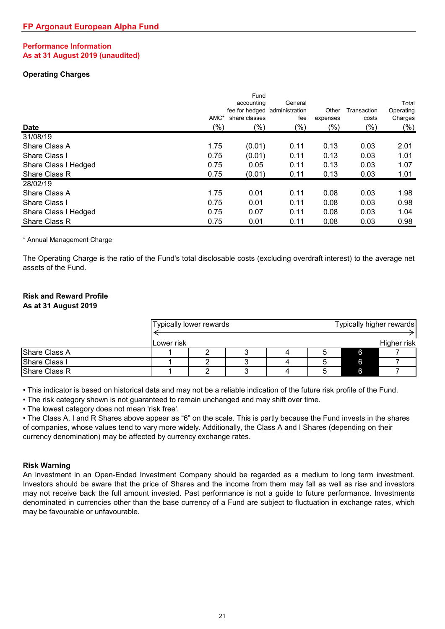## **Performance Information As at 31 August 2019 (unaudited)**

# **Operating Charges**

|                      |         | Fund<br>accounting<br>fee for hedged administration | General | Other    | Transaction | Total<br>Operating |
|----------------------|---------|-----------------------------------------------------|---------|----------|-------------|--------------------|
|                      | AMC*    | share classes                                       | fee     | expenses | costs       | Charges            |
| <b>Date</b>          | $(\% )$ | $(\% )$                                             | $(\%)$  | $(\% )$  | $(\% )$     | $(\%)$             |
| 31/08/19             |         |                                                     |         |          |             |                    |
| Share Class A        | 1.75    | (0.01)                                              | 0.11    | 0.13     | 0.03        | 2.01               |
| Share Class I        | 0.75    | (0.01)                                              | 0.11    | 0.13     | 0.03        | 1.01               |
| Share Class I Hedged | 0.75    | 0.05                                                | 0.11    | 0.13     | 0.03        | 1.07               |
| Share Class R        | 0.75    | (0.01)                                              | 0.11    | 0.13     | 0.03        | 1.01               |
| 28/02/19             |         |                                                     |         |          |             |                    |
| Share Class A        | 1.75    | 0.01                                                | 0.11    | 0.08     | 0.03        | 1.98               |
| Share Class I        | 0.75    | 0.01                                                | 0.11    | 0.08     | 0.03        | 0.98               |
| Share Class I Hedged | 0.75    | 0.07                                                | 0.11    | 0.08     | 0.03        | 1.04               |
| Share Class R        | 0.75    | 0.01                                                | 0.11    | 0.08     | 0.03        | 0.98               |

\* Annual Management Charge

The Operating Charge is the ratio of the Fund's total disclosable costs (excluding overdraft interest) to the average net assets of the Fund.

# **Risk and Reward Profile**

# **As at 31 August 2019**

|               |            | Typically lower rewards |  |   | Typically higher rewards |
|---------------|------------|-------------------------|--|---|--------------------------|
|               | Lower risk |                         |  |   | Higher risk              |
| Share Class A |            |                         |  | 6 |                          |
| Share Class I |            |                         |  | 6 |                          |
| Share Class R |            |                         |  | 6 |                          |

• This indicator is based on historical data and may not be a reliable indication of the future risk profile of the Fund.

• The risk category shown is not guaranteed to remain unchanged and may shift over time.

• The lowest category does not mean 'risk free'.

• The Class A, I and R Shares above appear as "6" on the scale. This is partly because the Fund invests in the shares of companies, whose values tend to vary more widely. Additionally, the Class A and I Shares (depending on their currency denomination) may be affected by currency exchange rates.

### **Risk Warning**

An investment in an Open-Ended Investment Company should be regarded as a medium to long term investment. Investors should be aware that the price of Shares and the income from them may fall as well as rise and investors may not receive back the full amount invested. Past performance is not a guide to future performance. Investments denominated in currencies other than the base currency of a Fund are subject to fluctuation in exchange rates, which may be favourable or unfavourable.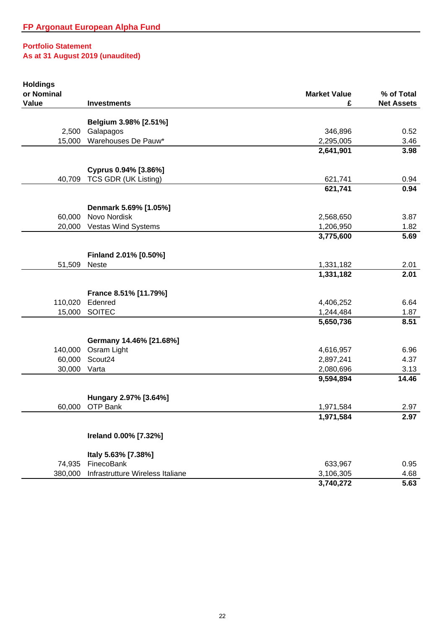| <b>Holdings</b> |                                    |                        |                   |
|-----------------|------------------------------------|------------------------|-------------------|
| or Nominal      |                                    | <b>Market Value</b>    | % of Total        |
| <b>Value</b>    | <b>Investments</b>                 | £                      | <b>Net Assets</b> |
|                 |                                    |                        |                   |
| 2,500           | Belgium 3.98% [2.51%]<br>Galapagos | 346,896                | 0.52              |
|                 | Warehouses De Pauw*                |                        |                   |
| 15,000          |                                    | 2,295,005<br>2,641,901 | 3.46              |
|                 |                                    |                        | 3.98              |
|                 | Cyprus 0.94% [3.86%]               |                        |                   |
| 40,709          | TCS GDR (UK Listing)               | 621,741                | 0.94              |
|                 |                                    | 621,741                | 0.94              |
|                 | Denmark 5.69% [1.05%]              |                        |                   |
| 60,000          | Novo Nordisk                       | 2,568,650              | 3.87              |
| 20,000          | Vestas Wind Systems                | 1,206,950              | 1.82              |
|                 |                                    | 3,775,600              | 5.69              |
|                 |                                    |                        |                   |
|                 | Finland 2.01% [0.50%]              |                        |                   |
| 51,509          | <b>Neste</b>                       | 1,331,182              | 2.01              |
|                 |                                    | 1,331,182              | 2.01              |
|                 | France 8.51% [11.79%]              |                        |                   |
| 110,020         | Edenred                            | 4,406,252              | 6.64              |
| 15,000          | <b>SOITEC</b>                      | 1,244,484              | 1.87              |
|                 |                                    | 5,650,736              | 8.51              |
|                 |                                    |                        |                   |
|                 | Germany 14.46% [21.68%]            |                        |                   |
| 140,000         | Osram Light                        | 4,616,957              | 6.96              |
| 60,000          | Scout <sub>24</sub>                | 2,897,241              | 4.37              |
| 30,000          | Varta                              | 2,080,696              | 3.13              |
|                 |                                    | 9,594,894              | 14.46             |
|                 | Hungary 2.97% [3.64%]              |                        |                   |
| 60,000          | OTP Bank                           | 1,971,584              | 2.97              |
|                 |                                    | 1,971,584              | 2.97              |
|                 |                                    |                        |                   |
|                 | Ireland 0.00% [7.32%]              |                        |                   |
|                 | Italy 5.63% [7.38%]                |                        |                   |
| 74,935          | FinecoBank                         | 633,967                | 0.95              |
| 380,000         | Infrastrutture Wireless Italiane   | 3,106,305              | 4.68              |
|                 |                                    | 3,740,272              | 5.63              |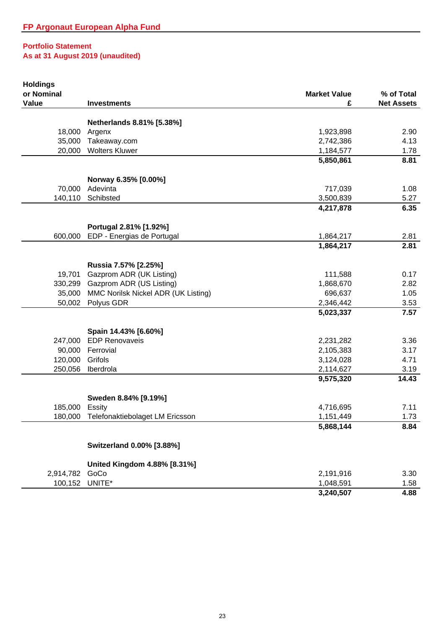| <b>Holdings</b> |                                     |                     |                   |
|-----------------|-------------------------------------|---------------------|-------------------|
| or Nominal      |                                     | <b>Market Value</b> | % of Total        |
| Value           | <b>Investments</b>                  | £                   | <b>Net Assets</b> |
|                 | Netherlands 8.81% [5.38%]           |                     |                   |
| 18,000          | Argenx                              | 1,923,898           | 2.90              |
| 35,000          | Takeaway.com                        | 2,742,386           | 4.13              |
| 20,000          | <b>Wolters Kluwer</b>               | 1,184,577           | 1.78              |
|                 |                                     | 5,850,861           | 8.81              |
|                 | Norway 6.35% [0.00%]                |                     |                   |
| 70,000          | Adevinta                            | 717,039             | 1.08              |
| 140,110         | Schibsted                           | 3,500,839           | 5.27              |
|                 |                                     | 4,217,878           | 6.35              |
|                 |                                     |                     |                   |
|                 | Portugal 2.81% [1.92%]              |                     |                   |
| 600,000         | EDP - Energias de Portugal          | 1,864,217           | 2.81              |
|                 |                                     | 1,864,217           | 2.81              |
|                 | Russia 7.57% [2.25%]                |                     |                   |
| 19,701          | Gazprom ADR (UK Listing)            | 111,588             | 0.17              |
| 330,299         | Gazprom ADR (US Listing)            | 1,868,670           | 2.82              |
| 35,000          | MMC Norilsk Nickel ADR (UK Listing) | 696,637             | 1.05              |
| 50,002          | Polyus GDR                          | 2,346,442           | 3.53              |
|                 |                                     | 5,023,337           | 7.57              |
|                 | Spain 14.43% [6.60%]                |                     |                   |
| 247,000         | <b>EDP Renovaveis</b>               | 2,231,282           | 3.36              |
| 90,000          | Ferrovial                           | 2,105,383           | 3.17              |
| 120,000         | Grifols                             | 3,124,028           | 4.71              |
| 250,056         | Iberdrola                           | 2,114,627           | 3.19              |
|                 |                                     | 9,575,320           | 14.43             |
|                 | Sweden 8.84% [9.19%]                |                     |                   |
| 185,000         | Essity                              | 4,716,695           | 7.11              |
| 180,000         | Telefonaktiebolaget LM Ericsson     | 1,151,449           | 1.73              |
|                 |                                     | 5,868,144           | 8.84              |
|                 | Switzerland 0.00% [3.88%]           |                     |                   |
|                 |                                     |                     |                   |
|                 | United Kingdom 4.88% [8.31%]        |                     |                   |
| 2,914,782       | GoCo                                | 2,191,916           | 3.30              |
| 100,152         | UNITE*                              | 1,048,591           | 1.58              |
|                 |                                     | 3,240,507           | 4.88              |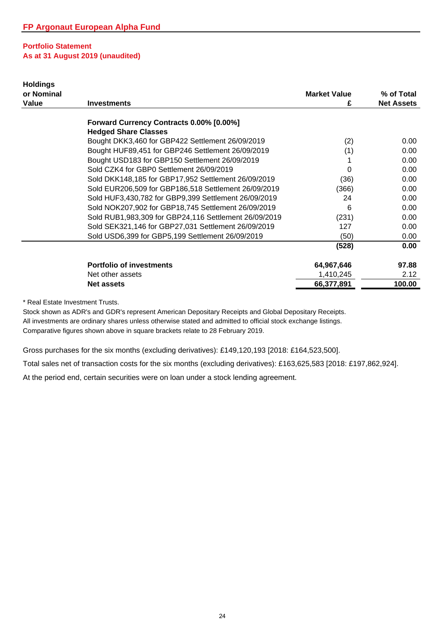| <b>Holdings</b><br>or Nominal |                                                       | <b>Market Value</b> | % of Total        |
|-------------------------------|-------------------------------------------------------|---------------------|-------------------|
| Value                         | <b>Investments</b>                                    | £                   | <b>Net Assets</b> |
|                               |                                                       |                     |                   |
|                               | Forward Currency Contracts 0.00% [0.00%]              |                     |                   |
|                               | <b>Hedged Share Classes</b>                           |                     |                   |
|                               | Bought DKK3,460 for GBP422 Settlement 26/09/2019      | (2)                 | 0.00              |
|                               | Bought HUF89,451 for GBP246 Settlement 26/09/2019     | (1)                 | 0.00              |
|                               | Bought USD183 for GBP150 Settlement 26/09/2019        |                     | 0.00              |
|                               | Sold CZK4 for GBP0 Settlement 26/09/2019              | 0                   | 0.00              |
|                               | Sold DKK148,185 for GBP17,952 Settlement 26/09/2019   | (36)                | 0.00              |
|                               | Sold EUR206,509 for GBP186,518 Settlement 26/09/2019  | (366)               | 0.00              |
|                               | Sold HUF3,430,782 for GBP9,399 Settlement 26/09/2019  | 24                  | 0.00              |
|                               | Sold NOK207,902 for GBP18,745 Settlement 26/09/2019   | 6                   | 0.00              |
|                               | Sold RUB1,983,309 for GBP24,116 Settlement 26/09/2019 | (231)               | 0.00              |
|                               | Sold SEK321,146 for GBP27,031 Settlement 26/09/2019   | 127                 | 0.00              |
|                               | Sold USD6,399 for GBP5,199 Settlement 26/09/2019      | (50)                | 0.00              |
|                               |                                                       | (528)               | 0.00              |
|                               | <b>Portfolio of investments</b>                       | 64,967,646          | 97.88             |
|                               | Net other assets                                      | 1,410,245           | 2.12              |
|                               | <b>Net assets</b>                                     | 66,377,891          | 100.00            |

\* Real Estate Investment Trusts.

Comparative figures shown above in square brackets relate to 28 February 2019. Stock shown as ADR's and GDR's represent American Depositary Receipts and Global Depositary Receipts. All investments are ordinary shares unless otherwise stated and admitted to official stock exchange listings.

Gross purchases for the six months (excluding derivatives): £149,120,193 [2018: £164,523,500].

Total sales net of transaction costs for the six months (excluding derivatives): £163,625,583 [2018: £197,862,924].

At the period end, certain securities were on loan under a stock lending agreement.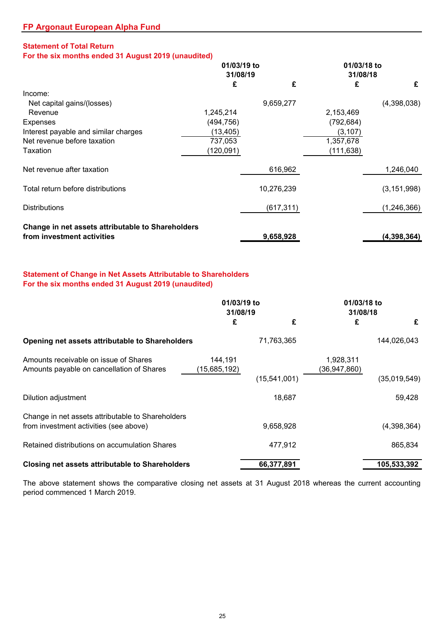# **Statement of Total Return**

**For the six months ended 31 August 2019 (unaudited)**

|                                                   | 01/03/19 to |            |            | 01/03/18 to   |  |
|---------------------------------------------------|-------------|------------|------------|---------------|--|
|                                                   | 31/08/19    |            |            | 31/08/18      |  |
|                                                   | £           | £          | £          | £             |  |
| Income:                                           |             |            |            |               |  |
| Net capital gains/(losses)                        |             | 9,659,277  |            | (4,398,038)   |  |
| Revenue                                           | 1,245,214   |            | 2,153,469  |               |  |
| Expenses                                          | (494, 756)  |            | (792, 684) |               |  |
| Interest payable and similar charges              | (13, 405)   |            | (3, 107)   |               |  |
| Net revenue before taxation                       | 737,053     |            | 1,357,678  |               |  |
| Taxation                                          | (120,091)   |            | (111, 638) |               |  |
| Net revenue after taxation                        |             | 616,962    |            | 1,246,040     |  |
| Total return before distributions                 |             | 10,276,239 |            | (3, 151, 998) |  |
| <b>Distributions</b>                              |             | (617, 311) |            | (1, 246, 366) |  |
| Change in net assets attributable to Shareholders |             |            |            |               |  |
| from investment activities                        |             | 9,658,928  |            | (4, 398, 364) |  |

# **Statement of Change in Net Assets Attributable to Shareholders For the six months ended 31 August 2019 (unaudited)**

|                                                                                             | 01/03/19 to<br>31/08/19 |              | 01/03/18 to<br>31/08/18     |              |
|---------------------------------------------------------------------------------------------|-------------------------|--------------|-----------------------------|--------------|
|                                                                                             | £                       | £            | £                           | £            |
| Opening net assets attributable to Shareholders                                             |                         | 71,763,365   |                             | 144,026,043  |
| Amounts receivable on issue of Shares<br>Amounts payable on cancellation of Shares          | 144,191<br>(15,685,192) | (15,541,001) | 1,928,311<br>(36, 947, 860) | (35,019,549) |
| Dilution adjustment                                                                         |                         | 18,687       |                             | 59,428       |
| Change in net assets attributable to Shareholders<br>from investment activities (see above) |                         | 9,658,928    |                             | (4,398,364)  |
| Retained distributions on accumulation Shares                                               |                         | 477,912      |                             | 865,834      |
| Closing net assets attributable to Shareholders                                             |                         | 66,377,891   |                             | 105,533,392  |

The above statement shows the comparative closing net assets at 31 August 2018 whereas the current accounting period commenced 1 March 2019.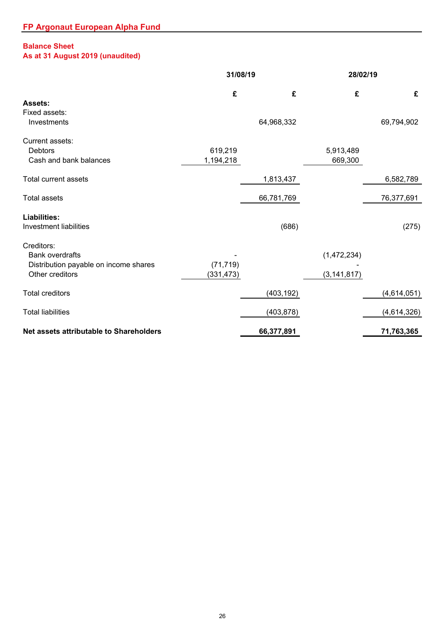# **Balance Sheet**

# **As at 31 August 2019 (unaudited)**

|                                                                                                  | 31/08/19                |            |                              | 28/02/19    |  |
|--------------------------------------------------------------------------------------------------|-------------------------|------------|------------------------------|-------------|--|
| <b>Assets:</b>                                                                                   | £                       | £          | £                            | £           |  |
| Fixed assets:<br>Investments                                                                     |                         | 64,968,332 |                              | 69,794,902  |  |
| Current assets:<br><b>Debtors</b><br>Cash and bank balances                                      | 619,219<br>1,194,218    |            | 5,913,489<br>669,300         |             |  |
| <b>Total current assets</b>                                                                      |                         | 1,813,437  |                              | 6,582,789   |  |
| <b>Total assets</b>                                                                              |                         | 66,781,769 |                              | 76,377,691  |  |
| <b>Liabilities:</b><br><b>Investment liabilities</b>                                             |                         | (686)      |                              | (275)       |  |
| Creditors:<br><b>Bank overdrafts</b><br>Distribution payable on income shares<br>Other creditors | (71, 719)<br>(331, 473) |            | (1,472,234)<br>(3, 141, 817) |             |  |
| <b>Total creditors</b>                                                                           |                         | (403, 192) |                              | (4,614,051) |  |
| <b>Total liabilities</b>                                                                         |                         | (403, 878) |                              | (4,614,326) |  |
| Net assets attributable to Shareholders                                                          |                         | 66,377,891 |                              | 71,763,365  |  |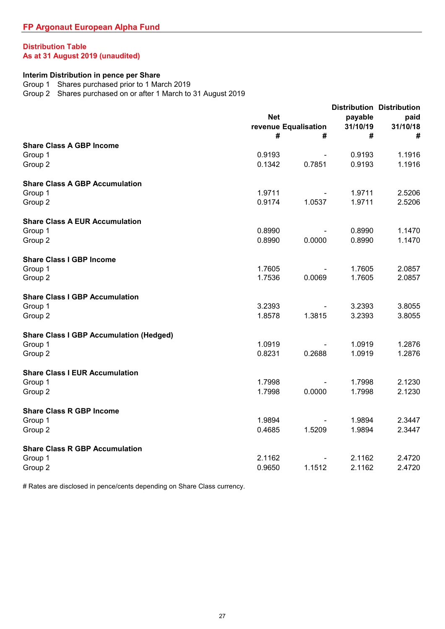# **Distribution Table As at 31 August 2019 (unaudited)**

#### **Interim Distribution in pence per Share**

Group 1 Shares purchased prior to 1 March 2019

Group 2 Shares purchased on or after 1 March to 31 August 2019

|                                                |            |                      |          | <b>Distribution Distribution</b> |  |  |
|------------------------------------------------|------------|----------------------|----------|----------------------------------|--|--|
|                                                | <b>Net</b> |                      | payable  | paid                             |  |  |
|                                                |            | revenue Equalisation | 31/10/19 | 31/10/18                         |  |  |
|                                                | #          | #                    | #        | #                                |  |  |
| <b>Share Class A GBP Income</b>                |            |                      |          |                                  |  |  |
| Group 1                                        | 0.9193     |                      | 0.9193   | 1.1916                           |  |  |
| Group 2                                        | 0.1342     | 0.7851               | 0.9193   | 1.1916                           |  |  |
| <b>Share Class A GBP Accumulation</b>          |            |                      |          |                                  |  |  |
| Group 1                                        | 1.9711     |                      | 1.9711   | 2.5206                           |  |  |
| Group 2                                        | 0.9174     | 1.0537               | 1.9711   | 2.5206                           |  |  |
| <b>Share Class A EUR Accumulation</b>          |            |                      |          |                                  |  |  |
| Group 1                                        | 0.8990     |                      | 0.8990   | 1.1470                           |  |  |
| Group 2                                        | 0.8990     | 0.0000               | 0.8990   | 1.1470                           |  |  |
| <b>Share Class I GBP Income</b>                |            |                      |          |                                  |  |  |
| Group 1                                        | 1.7605     |                      | 1.7605   | 2.0857                           |  |  |
| Group 2                                        | 1.7536     | 0.0069               | 1.7605   | 2.0857                           |  |  |
| <b>Share Class I GBP Accumulation</b>          |            |                      |          |                                  |  |  |
| Group 1                                        | 3.2393     |                      | 3.2393   | 3.8055                           |  |  |
| Group 2                                        | 1.8578     | 1.3815               | 3.2393   | 3.8055                           |  |  |
| <b>Share Class I GBP Accumulation (Hedged)</b> |            |                      |          |                                  |  |  |
| Group 1                                        | 1.0919     |                      | 1.0919   | 1.2876                           |  |  |
| Group 2                                        | 0.8231     | 0.2688               | 1.0919   | 1.2876                           |  |  |
| <b>Share Class I EUR Accumulation</b>          |            |                      |          |                                  |  |  |
| Group 1                                        | 1.7998     |                      | 1.7998   | 2.1230                           |  |  |
| Group 2                                        | 1.7998     | 0.0000               | 1.7998   | 2.1230                           |  |  |
| <b>Share Class R GBP Income</b>                |            |                      |          |                                  |  |  |
| Group 1                                        | 1.9894     |                      | 1.9894   | 2.3447                           |  |  |
| Group 2                                        | 0.4685     | 1.5209               | 1.9894   | 2.3447                           |  |  |
| <b>Share Class R GBP Accumulation</b>          |            |                      |          |                                  |  |  |
| Group 1                                        | 2.1162     |                      | 2.1162   | 2.4720                           |  |  |
| Group 2                                        | 0.9650     | 1.1512               | 2.1162   | 2.4720                           |  |  |

# Rates are disclosed in pence/cents depending on Share Class currency.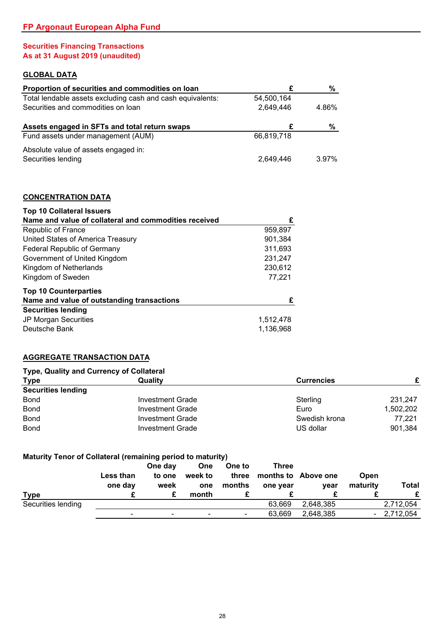# **Securities Financing Transactions As at 31 August 2019 (unaudited)**

# **GLOBAL DATA**

| Proportion of securities and commodities on loan           | £          | %        |
|------------------------------------------------------------|------------|----------|
| Total lendable assets excluding cash and cash equivalents: | 54.500.164 |          |
| Securities and commodities on loan                         | 2,649,446  | 4.86%    |
| Assets engaged in SFTs and total return swaps              | £          | %        |
| Fund assets under management (AUM)                         | 66,819,718 |          |
| Absolute value of assets engaged in:                       |            |          |
| Securities lending                                         | 2,649,446  | $3.97\%$ |
|                                                            |            |          |
| <b>CONCENTRATION DATA</b>                                  |            |          |
| <b>Top 10 Collateral Issuers</b>                           |            |          |

| Name and value of collateral and commodities received | £         |
|-------------------------------------------------------|-----------|
| Republic of France                                    | 959,897   |
| United States of America Treasury                     | 901,384   |
| <b>Federal Republic of Germany</b>                    | 311,693   |
| Government of United Kingdom                          | 231,247   |
| Kingdom of Netherlands                                | 230,612   |
| Kingdom of Sweden                                     | 77,221    |
| <b>Top 10 Counterparties</b>                          |           |
| Name and value of outstanding transactions            | £         |
| <b>Securities lending</b>                             |           |
| JP Morgan Securities                                  | 1,512,478 |
| Deutsche Bank                                         | 1,136,968 |

# **AGGREGATE TRANSACTION DATA**

#### **Type, Quality and Currency of Collateral**

| <b>Type</b><br>Quality    |                  | <b>Currencies</b> |           |
|---------------------------|------------------|-------------------|-----------|
| <b>Securities lending</b> |                  |                   |           |
| <b>Bond</b>               | Investment Grade | Sterling          | 231.247   |
| <b>Bond</b>               | Investment Grade | Euro              | 1,502,202 |
| <b>Bond</b>               | Investment Grade | Swedish krona     | 77.221    |
| <b>Bond</b>               | Investment Grade | US dollar         | 901,384   |

# **Maturity Tenor of Collateral (remaining period to maturity)**

|                    | Less than<br>one day         | One day<br>to one<br>week | <b>One</b><br>week to<br>one | One to<br>three<br>months | Three<br>one year | months to Above one<br>vear | Open<br>maturity | Total     |
|--------------------|------------------------------|---------------------------|------------------------------|---------------------------|-------------------|-----------------------------|------------------|-----------|
| <b>Type</b>        |                              | £                         | month                        |                           |                   |                             |                  |           |
| Securities lending |                              |                           |                              |                           | 63.669            | 2.648.385                   |                  | 2,712,054 |
|                    | $\qquad \qquad \blacksquare$ | $\overline{\phantom{0}}$  |                              | $\overline{\phantom{0}}$  | 63.669            | 2.648.385                   |                  | 2,712,054 |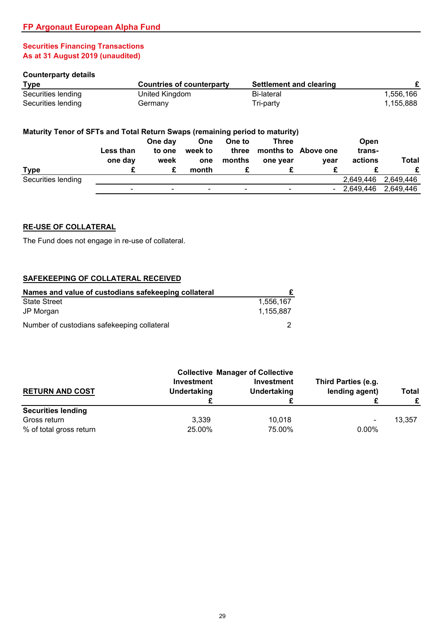# **Securities Financing Transactions As at 31 August 2019 (unaudited)**

#### **Counterparty details**

| <b>Type</b>        | Countries of counterparty | Settlement and clearing |           |
|--------------------|---------------------------|-------------------------|-----------|
| Securities lending | United Kingdom            | Bi-lateral              | 1.556.166 |
| Securities lending | Germany                   | Tri-party               | 1,155,888 |

# **Maturity Tenor of SFTs and Total Return Swaps (remaining period to maturity)**

|                    | Less than                    | One day<br>to one        | <b>One</b><br>week to    | One to<br>three          | Three                    | months to Above one | <b>Open</b><br>trans- |           |
|--------------------|------------------------------|--------------------------|--------------------------|--------------------------|--------------------------|---------------------|-----------------------|-----------|
|                    | one day                      | week                     | one                      | months                   | one year                 | vear                | actions               | Total     |
| <b>Type</b>        |                              | £                        | month                    |                          |                          |                     |                       |           |
| Securities lending |                              |                          |                          |                          |                          |                     | 2,649,446             | 2,649,446 |
|                    | $\qquad \qquad \blacksquare$ | $\overline{\phantom{0}}$ | $\overline{\phantom{0}}$ | $\overline{\phantom{0}}$ | $\overline{\phantom{0}}$ | $\blacksquare$      | 2,649,446             | 2,649,446 |

### **RE-USE OF COLLATERAL**

The Fund does not engage in re-use of collateral.

#### **SAFEKEEPING OF COLLATERAL RECEIVED**

| Names and value of custodians safekeeping collateral |           |
|------------------------------------------------------|-----------|
| <b>State Street</b>                                  | 1.556.167 |
| JP Morgan                                            | 1.155.887 |
| Number of custodians safekeeping collateral          |           |

|                           | <b>Collective Manager of Collective</b> |                                  |                                       |                   |
|---------------------------|-----------------------------------------|----------------------------------|---------------------------------------|-------------------|
| <b>RETURN AND COST</b>    | <b>Investment</b><br>Undertaking        | <b>Investment</b><br>Undertaking | Third Parties (e.g.<br>lending agent) | <b>Total</b><br>£ |
| <b>Securities lending</b> |                                         |                                  |                                       |                   |
| Gross return              | 3,339                                   | 10.018                           | $\overline{\phantom{0}}$              | 13.357            |
| % of total gross return   | 25.00%                                  | 75.00%                           | $0.00\%$                              |                   |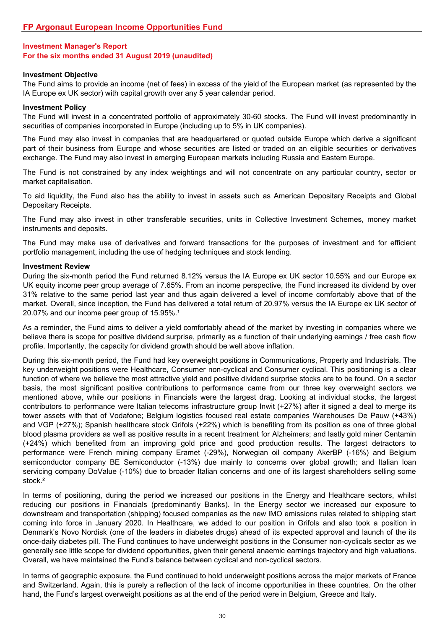#### **Investment Objective**

The Fund aims to provide an income (net of fees) in excess of the yield of the European market (as represented by the IA Europe ex UK sector) with capital growth over any 5 year calendar period.

#### **Investment Policy**

The Fund will invest in a concentrated portfolio of approximately 30-60 stocks. The Fund will invest predominantly in securities of companies incorporated in Europe (including up to 5% in UK companies).

The Fund may also invest in companies that are headquartered or quoted outside Europe which derive a significant part of their business from Europe and whose securities are listed or traded on an eligible securities or derivatives exchange. The Fund may also invest in emerging European markets including Russia and Eastern Europe.

The Fund is not constrained by any index weightings and will not concentrate on any particular country, sector or market capitalisation.

To aid liquidity, the Fund also has the ability to invest in assets such as American Depositary Receipts and Global Depositary Receipts.

The Fund may also invest in other transferable securities, units in Collective Investment Schemes, money market instruments and deposits.

The Fund may make use of derivatives and forward transactions for the purposes of investment and for efficient portfolio management, including the use of hedging techniques and stock lending.

#### **Investment Review**

During the six-month period the Fund returned 8.12% versus the IA Europe ex UK sector 10.55% and our Europe ex UK equity income peer group average of 7.65%. From an income perspective, the Fund increased its dividend by over 31% relative to the same period last year and thus again delivered a level of income comfortably above that of the market. Overall, since inception, the Fund has delivered a total return of 20.97% versus the IA Europe ex UK sector of 20.07% and our income peer group of 15.95%.<sup>1</sup>

As a reminder, the Fund aims to deliver a yield comfortably ahead of the market by investing in companies where we believe there is scope for positive dividend surprise, primarily as a function of their underlying earnings / free cash flow profile. Importantly, the capacity for dividend growth should be well above inflation.

During this six-month period, the Fund had key overweight positions in Communications, Property and Industrials. The key underweight positions were Healthcare, Consumer non-cyclical and Consumer cyclical. This positioning is a clear function of where we believe the most attractive yield and positive dividend surprise stocks are to be found. On a sector basis, the most significant positive contributions to performance came from our three key overweight sectors we mentioned above, while our positions in Financials were the largest drag. Looking at individual stocks, the largest contributors to performance were Italian telecoms infrastructure group Inwit (+27%) after it signed a deal to merge its tower assets with that of Vodafone; Belgium logistics focused real estate companies Warehouses De Pauw (+43%) and VGP (+27%); Spanish healthcare stock Grifols (+22%) which is benefiting from its position as one of three global blood plasma providers as well as positive results in a recent treatment for Alzheimers; and lastly gold miner Centamin (+24%) which benefited from an improving gold price and good production results. The largest detractors to performance were French mining company Eramet (-29%), Norwegian oil company AkerBP (-16%) and Belgium semiconductor company BE Semiconductor (-13%) due mainly to concerns over global growth; and Italian loan servicing company DoValue (-10%) due to broader Italian concerns and one of its largest shareholders selling some stock.²

In terms of positioning, during the period we increased our positions in the Energy and Healthcare sectors, whilst reducing our positions in Financials (predominantly Banks). In the Energy sector we increased our exposure to downstream and transportation (shipping) focused companies as the new IMO emissions rules related to shipping start coming into force in January 2020. In Healthcare, we added to our position in Grifols and also took a position in Denmark's Novo Nordisk (one of the leaders in diabetes drugs) ahead of its expected approval and launch of the its once-daily diabetes pill. The Fund continues to have underweight positions in the Consumer non-cyclicals sector as we generally see little scope for dividend opportunities, given their general anaemic earnings trajectory and high valuations. Overall, we have maintained the Fund's balance between cyclical and non-cyclical sectors.

In terms of geographic exposure, the Fund continued to hold underweight positions across the major markets of France and Switzerland. Again, this is purely a reflection of the lack of income opportunities in these countries. On the other hand, the Fund's largest overweight positions as at the end of the period were in Belgium, Greece and Italy.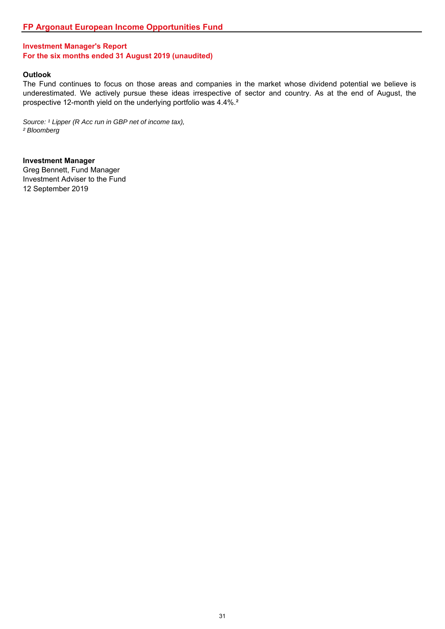#### **Outlook**

The Fund continues to focus on those areas and companies in the market whose dividend potential we believe is underestimated. We actively pursue these ideas irrespective of sector and country. As at the end of August, the prospective 12-month yield on the underlying portfolio was 4.4%.²

Source: <sup>1</sup> Lipper (R Acc run in GBP net of income tax), *² Bloomberg*

**Investment Manager** Greg Bennett, Fund Manager Investment Adviser to the Fund 12 September 2019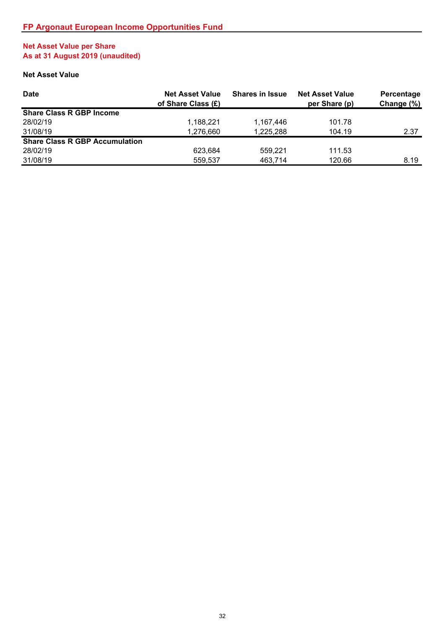# **Net Asset Value per Share As at 31 August 2019 (unaudited)**

# **Net Asset Value**

| <b>Date</b>                           | <b>Net Asset Value</b><br>of Share Class (£) | <b>Shares in Issue</b> | <b>Net Asset Value</b><br>per Share (p) | Percentage<br>Change (%) |
|---------------------------------------|----------------------------------------------|------------------------|-----------------------------------------|--------------------------|
| <b>Share Class R GBP Income</b>       |                                              |                        |                                         |                          |
| 28/02/19                              | 1.188.221                                    | 1.167.446              | 101.78                                  |                          |
| 31/08/19                              | 1,276,660                                    | 1,225,288              | 104.19                                  | 2.37                     |
| <b>Share Class R GBP Accumulation</b> |                                              |                        |                                         |                          |
| 28/02/19                              | 623.684                                      | 559.221                | 111.53                                  |                          |
| 31/08/19                              | 559.537                                      | 463,714                | 120.66                                  | 8.19                     |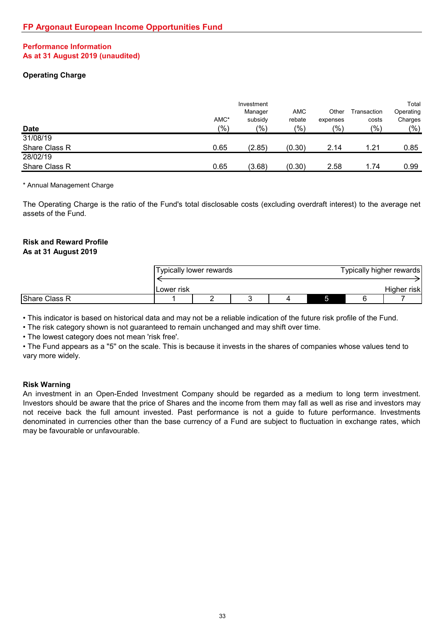## **Performance Information As at 31 August 2019 (unaudited)**

# **Operating Charge**

| <b>Date</b>   | AMC*<br>$(\% )$ | Investment<br>Manager<br>subsidy<br>(%) | <b>AMC</b><br>rebate<br>(9/0) | Other<br>expenses<br>(9/0) | Transaction<br>costs<br>(9/0) | Total<br>Operating<br>Charges<br>(9/0) |
|---------------|-----------------|-----------------------------------------|-------------------------------|----------------------------|-------------------------------|----------------------------------------|
| 31/08/19      |                 |                                         |                               |                            |                               |                                        |
| Share Class R | 0.65            | (2.85)                                  | (0.30)                        | 2.14                       | 1.21                          | 0.85                                   |
| 28/02/19      |                 |                                         |                               |                            |                               |                                        |
| Share Class R | 0.65            | (3.68)                                  | (0.30)                        | 2.58                       | 1.74                          | 0.99                                   |

\* Annual Management Charge

The Operating Charge is the ratio of the Fund's total disclosable costs (excluding overdraft interest) to the average net assets of the Fund.

# **Risk and Reward Profile**

## **As at 31 August 2019**

|               | Typically lower rewards |  |  | Typically higher rewards |  |  |             |
|---------------|-------------------------|--|--|--------------------------|--|--|-------------|
|               | Lower risk              |  |  |                          |  |  | Higher risk |
| Share Class R |                         |  |  |                          |  |  |             |

• This indicator is based on historical data and may not be a reliable indication of the future risk profile of the Fund.

• The risk category shown is not guaranteed to remain unchanged and may shift over time.

• The lowest category does not mean 'risk free'.

• The Fund appears as a ''5'' on the scale. This is because it invests in the shares of companies whose values tend to vary more widely.

### **Risk Warning**

An investment in an Open-Ended Investment Company should be regarded as a medium to long term investment. Investors should be aware that the price of Shares and the income from them may fall as well as rise and investors may not receive back the full amount invested. Past performance is not a guide to future performance. Investments denominated in currencies other than the base currency of a Fund are subject to fluctuation in exchange rates, which may be favourable or unfavourable.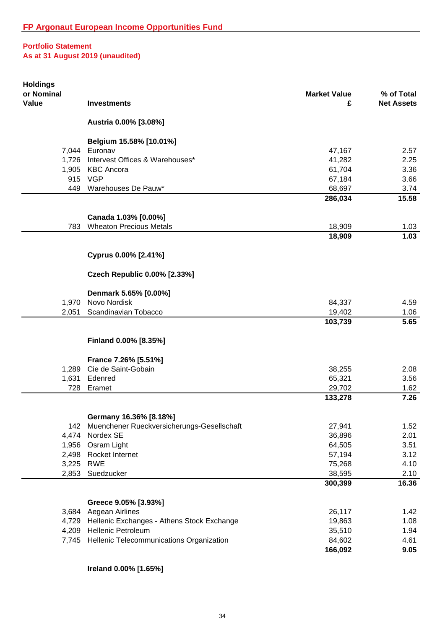| <b>Holdings</b><br>or Nominal |                                                                      | <b>Market Value</b> | % of Total        |
|-------------------------------|----------------------------------------------------------------------|---------------------|-------------------|
| Value                         | <b>Investments</b>                                                   | £                   | <b>Net Assets</b> |
|                               | Austria 0.00% [3.08%]                                                |                     |                   |
|                               | Belgium 15.58% [10.01%]                                              |                     |                   |
|                               | 7,044 Euronav                                                        | 47,167              | 2.57              |
| 1,726                         | Intervest Offices & Warehouses*                                      | 41,282              | 2.25              |
|                               | 1,905 KBC Ancora                                                     | 61,704              | 3.36              |
|                               | 915 VGP                                                              | 67,184              | 3.66              |
| 449                           | Warehouses De Pauw*                                                  | 68,697<br>286,034   | 3.74<br>15.58     |
|                               |                                                                      |                     |                   |
|                               | Canada 1.03% [0.00%]                                                 |                     |                   |
| 783                           | <b>Wheaton Precious Metals</b>                                       | 18,909              | 1.03              |
|                               |                                                                      | 18,909              | 1.03              |
|                               | Cyprus 0.00% [2.41%]                                                 |                     |                   |
|                               | <b>Czech Republic 0.00% [2.33%]</b>                                  |                     |                   |
|                               | Denmark 5.65% [0.00%]                                                |                     |                   |
| 1,970                         | Novo Nordisk                                                         | 84,337              | 4.59              |
| 2,051                         | Scandinavian Tobacco                                                 | 19,402              | 1.06              |
|                               |                                                                      | 103,739             | 5.65              |
|                               | Finland 0.00% [8.35%]                                                |                     |                   |
|                               | France 7.26% [5.51%]                                                 |                     |                   |
| 1,289                         | Cie de Saint-Gobain                                                  | 38,255              | 2.08              |
| 1,631                         | Edenred                                                              | 65,321              | 3.56              |
| 728                           | Eramet                                                               | 29,702              | 1.62              |
|                               |                                                                      | 133,278             | 7.26              |
|                               |                                                                      |                     |                   |
| 142                           | Germany 16.36% [8.18%]<br>Muenchener Rueckversicherungs-Gesellschaft | 27,941              | 1.52              |
| 4,474                         | Nordex SE                                                            | 36,896              | 2.01              |
| 1,956                         | Osram Light                                                          | 64,505              | 3.51              |
| 2,498                         | Rocket Internet                                                      | 57,194              | 3.12              |
| 3,225                         | <b>RWE</b>                                                           | 75,268              | 4.10              |
| 2,853                         | Suedzucker                                                           | 38,595              | 2.10              |
|                               |                                                                      | 300,399             | 16.36             |
|                               | Greece 9.05% [3.93%]                                                 |                     |                   |
| 3,684                         | Aegean Airlines                                                      | 26,117              | 1.42              |
| 4,729                         | Hellenic Exchanges - Athens Stock Exchange                           | 19,863              | 1.08              |
| 4,209                         | <b>Hellenic Petroleum</b>                                            | 35,510              | 1.94              |
| 7,745                         | Hellenic Telecommunications Organization                             | 84,602              | 4.61              |
|                               |                                                                      | 166,092             | 9.05              |

**Ireland 0.00% [1.65%]**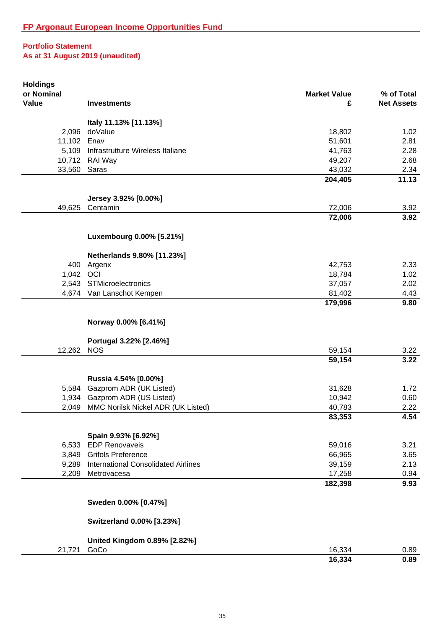| <b>Holdings</b> |                                            |                     |                   |
|-----------------|--------------------------------------------|---------------------|-------------------|
| or Nominal      |                                            | <b>Market Value</b> | % of Total        |
| Value           | <b>Investments</b>                         | £                   | <b>Net Assets</b> |
|                 | Italy 11.13% [11.13%]                      |                     |                   |
| 2,096           | doValue                                    | 18,802              | 1.02              |
| 11,102          | Enav                                       | 51,601              | 2.81              |
| 5,109           | Infrastrutture Wireless Italiane           | 41,763              | 2.28              |
|                 | 10,712 RAI Way                             | 49,207              | 2.68              |
| 33,560          | Saras                                      | 43,032              | 2.34              |
|                 |                                            | 204,405             | 11.13             |
|                 |                                            |                     |                   |
|                 | Jersey 3.92% [0.00%]                       |                     |                   |
| 49,625          | Centamin                                   | 72,006              | 3.92              |
|                 |                                            | 72,006              | 3.92              |
|                 | Luxembourg 0.00% [5.21%]                   |                     |                   |
|                 | Netherlands 9.80% [11.23%]                 |                     |                   |
| 400             | Argenx                                     | 42,753              | 2.33              |
| 1,042 OCI       |                                            | 18,784              | 1.02              |
|                 | 2,543 STMicroelectronics                   | 37,057              | 2.02              |
|                 | 4,674 Van Lanschot Kempen                  | 81,402              | 4.43              |
|                 |                                            | 179,996             | 9.80              |
|                 |                                            |                     |                   |
|                 | Norway 0.00% [6.41%]                       |                     |                   |
|                 | Portugal 3.22% [2.46%]                     |                     |                   |
| 12,262          | <b>NOS</b>                                 | 59,154              | 3.22              |
|                 |                                            | 59,154              | 3.22              |
|                 |                                            |                     |                   |
|                 | Russia 4.54% [0.00%]                       |                     |                   |
| 5,584           | Gazprom ADR (UK Listed)                    | 31,628              | 1.72              |
| 1,934           | Gazprom ADR (US Listed)                    | 10,942              | 0.60              |
| 2,049           | MMC Norilsk Nickel ADR (UK Listed)         | 40,783              | 2.22              |
|                 |                                            | 83,353              | 4.54              |
|                 | Spain 9.93% [6.92%]                        |                     |                   |
| 6,533           | <b>EDP Renovaveis</b>                      | 59,016              | 3.21              |
| 3,849           | <b>Grifols Preference</b>                  | 66,965              | 3.65              |
| 9,289           | <b>International Consolidated Airlines</b> | 39,159              | 2.13              |
| 2,209           | Metrovacesa                                | 17,258              | 0.94              |
|                 |                                            | 182,398             | 9.93              |
|                 | Sweden 0.00% [0.47%]                       |                     |                   |
|                 |                                            |                     |                   |
|                 | Switzerland 0.00% [3.23%]                  |                     |                   |
|                 | <b>United Kingdom 0.89% [2.82%]</b>        |                     |                   |
| 21,721          | GoCo                                       | 16,334              | 0.89              |
|                 |                                            | 16,334              | 0.89              |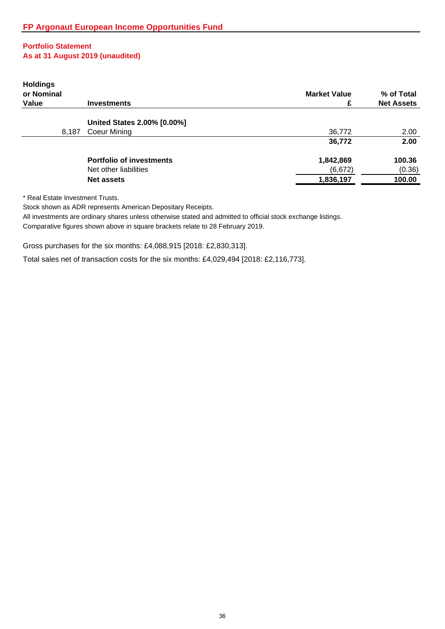| <b>Holdings</b><br>or Nominal |                                 | <b>Market Value</b> | % of Total        |
|-------------------------------|---------------------------------|---------------------|-------------------|
| Value                         | <b>Investments</b>              | £                   | <b>Net Assets</b> |
|                               | United States 2.00% [0.00%]     |                     |                   |
| 8,187                         | Coeur Mining                    | 36,772              | 2.00              |
|                               |                                 | 36,772              | 2.00              |
|                               | <b>Portfolio of investments</b> | 1,842,869           | 100.36            |
|                               | Net other liabilities           | (6,672)             | (0.36)            |
|                               | <b>Net assets</b>               | 1,836,197           | 100.00            |
|                               |                                 |                     |                   |

\* Real Estate Investment Trusts.

Stock shown as ADR represents American Depositary Receipts.

All investments are ordinary shares unless otherwise stated and admitted to official stock exchange listings.

Comparative figures shown above in square brackets relate to 28 February 2019.

Gross purchases for the six months: £4,088,915 [2018: £2,830,313].

Total sales net of transaction costs for the six months: £4,029,494 [2018: £2,116,773].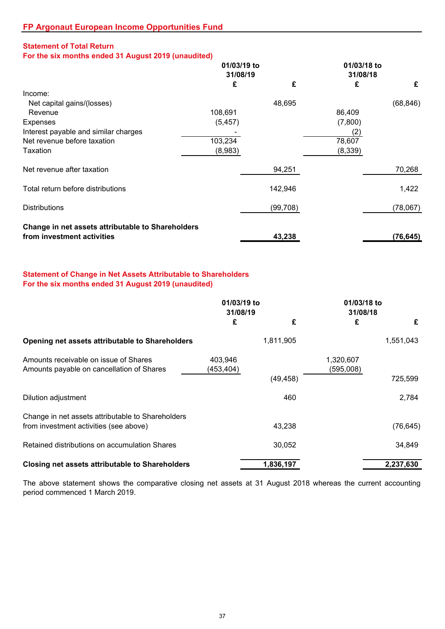# **Statement of Total Return**

**For the six months ended 31 August 2019 (unaudited)**

|                                                   | 01/03/19 to |           | 01/03/18 to |           |
|---------------------------------------------------|-------------|-----------|-------------|-----------|
|                                                   | 31/08/19    |           | 31/08/18    |           |
|                                                   | £           | £         | £           | £         |
| Income:                                           |             |           |             |           |
| Net capital gains/(losses)                        |             | 48,695    |             | (68, 846) |
| Revenue                                           | 108,691     |           | 86,409      |           |
| Expenses                                          | (5, 457)    |           | (7,800)     |           |
| Interest payable and similar charges              |             |           | (2)         |           |
| Net revenue before taxation                       | 103,234     |           | 78,607      |           |
| Taxation                                          | (8,983)     |           | (8,339)     |           |
| Net revenue after taxation                        |             | 94,251    |             | 70,268    |
| Total return before distributions                 |             | 142,946   |             | 1,422     |
| <b>Distributions</b>                              |             | (99, 708) |             | (78,067)  |
| Change in net assets attributable to Shareholders |             |           |             |           |
| from investment activities                        |             | 43,238    |             | (76, 645) |

# **Statement of Change in Net Assets Attributable to Shareholders For the six months ended 31 August 2019 (unaudited)**

|                                                                                             | 01/03/19 to<br>31/08/19 |           | 01/03/18 to<br>31/08/18 |           |
|---------------------------------------------------------------------------------------------|-------------------------|-----------|-------------------------|-----------|
|                                                                                             | £                       | £         | £                       | £         |
| Opening net assets attributable to Shareholders                                             |                         | 1,811,905 |                         | 1,551,043 |
| Amounts receivable on issue of Shares<br>Amounts payable on cancellation of Shares          | 403,946<br>(453, 404)   |           | 1,320,607<br>(595,008)  |           |
|                                                                                             |                         | (49, 458) |                         | 725,599   |
| Dilution adjustment                                                                         |                         | 460       |                         | 2,784     |
| Change in net assets attributable to Shareholders<br>from investment activities (see above) |                         | 43.238    |                         | (76, 645) |
| Retained distributions on accumulation Shares                                               |                         | 30,052    |                         | 34,849    |
| <b>Closing net assets attributable to Shareholders</b>                                      |                         | 1,836,197 |                         | 2,237,630 |

The above statement shows the comparative closing net assets at 31 August 2018 whereas the current accounting period commenced 1 March 2019.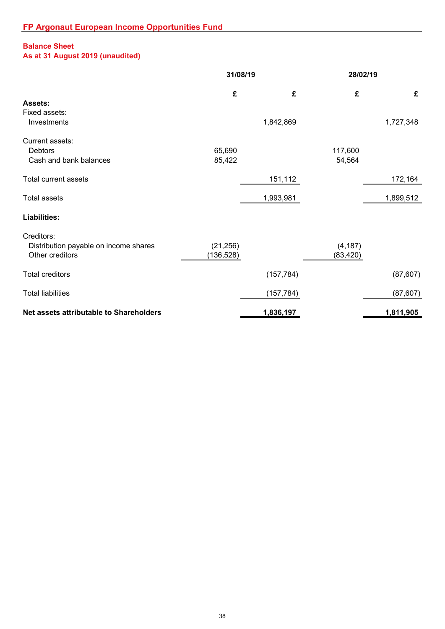# **Balance Sheet**

# **As at 31 August 2019 (unaudited)**

|                                                                        | 31/08/19                |            |                       | 28/02/19  |  |
|------------------------------------------------------------------------|-------------------------|------------|-----------------------|-----------|--|
|                                                                        | £                       | £          | £                     | £         |  |
| Assets:<br>Fixed assets:<br>Investments                                |                         | 1,842,869  |                       | 1,727,348 |  |
| Current assets:<br>Debtors<br>Cash and bank balances                   | 65,690<br>85,422        |            | 117,600<br>54,564     |           |  |
| <b>Total current assets</b>                                            |                         | 151,112    |                       | 172,164   |  |
| <b>Total assets</b>                                                    |                         | 1,993,981  |                       | 1,899,512 |  |
| <b>Liabilities:</b>                                                    |                         |            |                       |           |  |
| Creditors:<br>Distribution payable on income shares<br>Other creditors | (21, 256)<br>(136, 528) |            | (4, 187)<br>(83, 420) |           |  |
| <b>Total creditors</b>                                                 |                         | (157, 784) |                       | (87, 607) |  |
| <b>Total liabilities</b>                                               |                         | (157, 784) |                       | (87, 607) |  |
| Net assets attributable to Shareholders                                |                         | 1,836,197  |                       | 1,811,905 |  |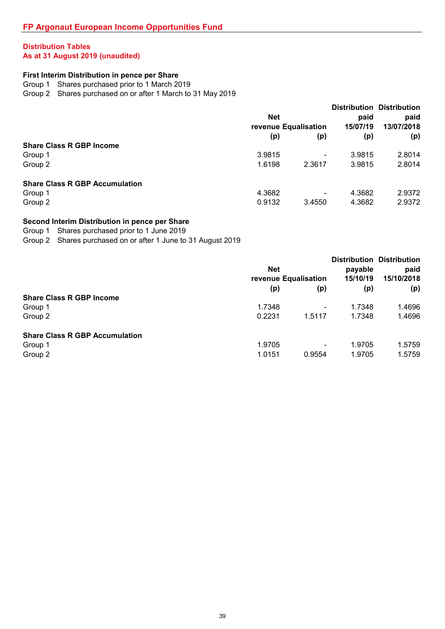# **Distribution Tables As at 31 August 2019 (unaudited)**

# **First Interim Distribution in pence per Share**

Group 1 Shares purchased prior to 1 March 2019

Group 2 Shares purchased on or after 1 March to 31 May 2019

|                                       | <b>Net</b>           |                              | <b>Distribution Distribution</b><br>paid | paid       |
|---------------------------------------|----------------------|------------------------------|------------------------------------------|------------|
|                                       | revenue Equalisation |                              | 15/07/19                                 | 13/07/2018 |
|                                       | (p)                  | (p)                          | (p)                                      | (p)        |
| <b>Share Class R GBP Income</b>       |                      |                              |                                          |            |
| Group 1                               | 3.9815               | $\qquad \qquad \blacksquare$ | 3.9815                                   | 2.8014     |
| Group 2                               | 1.6198               | 2.3617                       | 3.9815                                   | 2.8014     |
| <b>Share Class R GBP Accumulation</b> |                      |                              |                                          |            |
| Group 1                               | 4.3682               | $\overline{\phantom{0}}$     | 4.3682                                   | 2.9372     |
| Group 2                               | 0.9132               | 3.4550                       | 4.3682                                   | 2.9372     |

## **Second Interim Distribution in pence per Share**

Group 1 Shares purchased prior to 1 June 2019

Group 2 Shares purchased on or after 1 June to 31 August 2019

|                                       | <b>Net</b><br>revenue Equalisation |                          | payable<br>15/10/19 | <b>Distribution Distribution</b><br>paid<br>15/10/2018 |
|---------------------------------------|------------------------------------|--------------------------|---------------------|--------------------------------------------------------|
|                                       | (p)                                | (p)                      | (p)                 | (p)                                                    |
| <b>Share Class R GBP Income</b>       |                                    |                          |                     |                                                        |
| Group 1                               | 1.7348                             | $\overline{\phantom{0}}$ | 1.7348              | 1.4696                                                 |
| Group 2                               | 0.2231                             | 1.5117                   | 1.7348              | 1.4696                                                 |
| <b>Share Class R GBP Accumulation</b> |                                    |                          |                     |                                                        |
| Group 1                               | 1.9705                             | $\overline{\phantom{0}}$ | 1.9705              | 1.5759                                                 |
| Group 2                               | 1.0151                             | 0.9554                   | 1.9705              | 1.5759                                                 |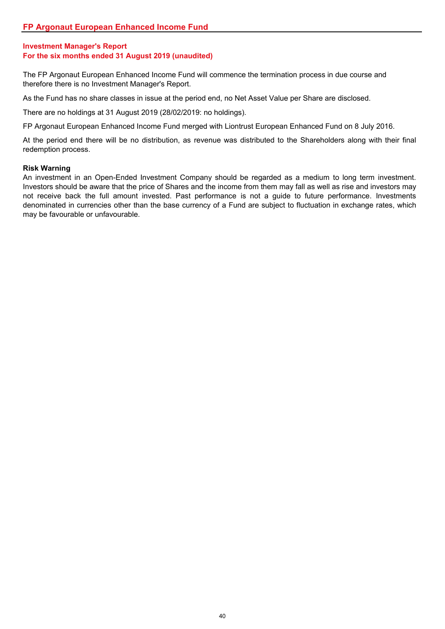The FP Argonaut European Enhanced Income Fund will commence the termination process in due course and therefore there is no Investment Manager's Report.

As the Fund has no share classes in issue at the period end, no Net Asset Value per Share are disclosed.

There are no holdings at 31 August 2019 (28/02/2019: no holdings).

FP Argonaut European Enhanced Income Fund merged with Liontrust European Enhanced Fund on 8 July 2016.

At the period end there will be no distribution, as revenue was distributed to the Shareholders along with their final redemption process.

### **Risk Warning**

An investment in an Open-Ended Investment Company should be regarded as a medium to long term investment. Investors should be aware that the price of Shares and the income from them may fall as well as rise and investors may not receive back the full amount invested. Past performance is not a guide to future performance. Investments denominated in currencies other than the base currency of a Fund are subject to fluctuation in exchange rates, which may be favourable or unfavourable.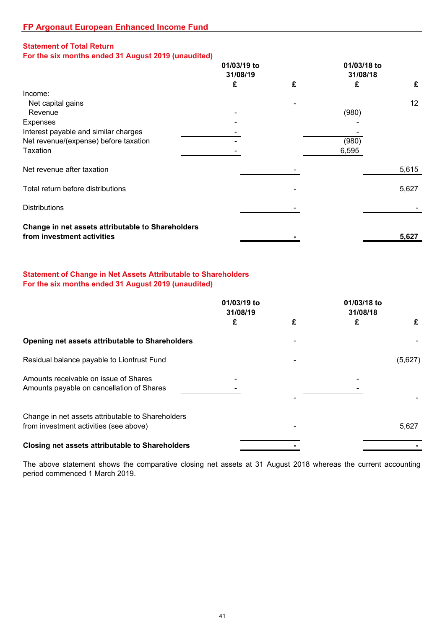# **Statement of Total Return**

**For the six months ended 31 August 2019 (unaudited)**

|                                                   | 01/03/19 to<br>31/08/19 |   | 01/03/18 to<br>31/08/18 |       |
|---------------------------------------------------|-------------------------|---|-------------------------|-------|
|                                                   | £                       | £ | £                       | £     |
| Income:                                           |                         |   |                         |       |
| Net capital gains                                 |                         |   |                         | 12    |
| Revenue                                           |                         |   | (980)                   |       |
| <b>Expenses</b>                                   |                         |   |                         |       |
| Interest payable and similar charges              |                         |   |                         |       |
| Net revenue/(expense) before taxation             |                         |   | (980)                   |       |
| Taxation                                          |                         |   | 6,595                   |       |
| Net revenue after taxation                        |                         |   |                         | 5,615 |
| Total return before distributions                 |                         |   |                         | 5,627 |
| <b>Distributions</b>                              |                         |   |                         |       |
| Change in net assets attributable to Shareholders |                         |   |                         |       |
| from investment activities                        |                         |   |                         | 5,627 |

## **Statement of Change in Net Assets Attributable to Shareholders For the six months ended 31 August 2019 (unaudited)**

|                                                                                             | 01/03/19 to<br>31/08/19 |   | 01/03/18 to<br>31/08/18 |         |
|---------------------------------------------------------------------------------------------|-------------------------|---|-------------------------|---------|
|                                                                                             | £                       | £ | £                       | £       |
| Opening net assets attributable to Shareholders                                             |                         |   |                         |         |
| Residual balance payable to Liontrust Fund                                                  |                         |   |                         | (5,627) |
| Amounts receivable on issue of Shares<br>Amounts payable on cancellation of Shares          |                         |   |                         |         |
| Change in net assets attributable to Shareholders<br>from investment activities (see above) |                         |   |                         | 5,627   |
| <b>Closing net assets attributable to Shareholders</b>                                      |                         |   |                         |         |

The above statement shows the comparative closing net assets at 31 August 2018 whereas the current accounting period commenced 1 March 2019.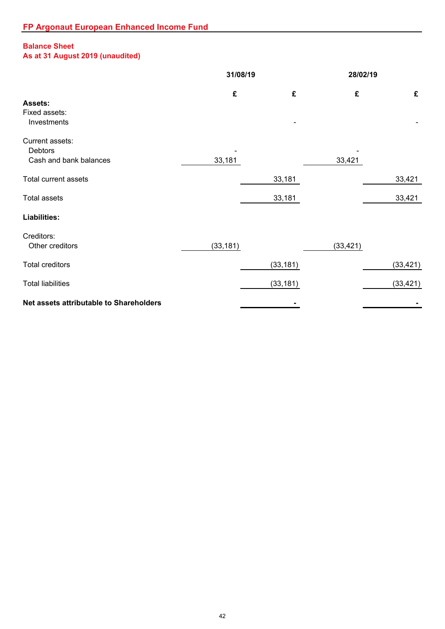# **Balance Sheet**

# **As at 31 August 2019 (unaudited)**

|                                                             | 31/08/19  |           |           | 28/02/19  |  |
|-------------------------------------------------------------|-----------|-----------|-----------|-----------|--|
| Assets:<br>Fixed assets:<br>Investments                     | £         | £         | £         | £         |  |
| Current assets:<br><b>Debtors</b><br>Cash and bank balances | 33,181    |           | 33,421    |           |  |
| Total current assets                                        |           | 33,181    |           | 33,421    |  |
| <b>Total assets</b>                                         |           | 33,181    |           | 33,421    |  |
| Liabilities:                                                |           |           |           |           |  |
| Creditors:<br>Other creditors                               | (33, 181) |           | (33, 421) |           |  |
| <b>Total creditors</b>                                      |           | (33, 181) |           | (33, 421) |  |
| <b>Total liabilities</b>                                    |           | (33, 181) |           | (33, 421) |  |
| Net assets attributable to Shareholders                     |           |           |           |           |  |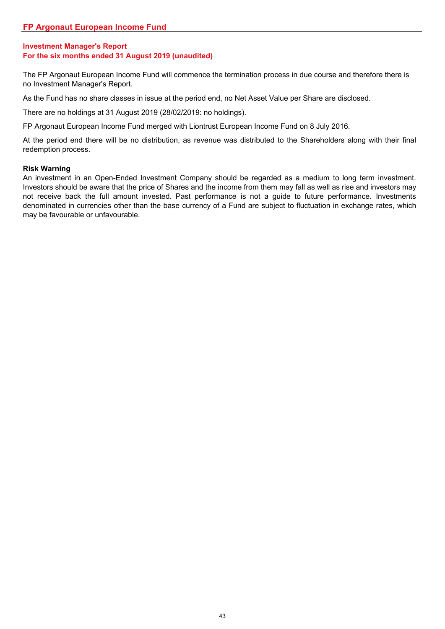The FP Argonaut European Income Fund will commence the termination process in due course and therefore there is no Investment Manager's Report.

As the Fund has no share classes in issue at the period end, no Net Asset Value per Share are disclosed.

There are no holdings at 31 August 2019 (28/02/2019: no holdings).

FP Argonaut European Income Fund merged with Liontrust European Income Fund on 8 July 2016.

At the period end there will be no distribution, as revenue was distributed to the Shareholders along with their final redemption process.

### **Risk Warning**

An investment in an Open-Ended Investment Company should be regarded as a medium to long term investment. Investors should be aware that the price of Shares and the income from them may fall as well as rise and investors may not receive back the full amount invested. Past performance is not a guide to future performance. Investments denominated in currencies other than the base currency of a Fund are subject to fluctuation in exchange rates, which may be favourable or unfavourable.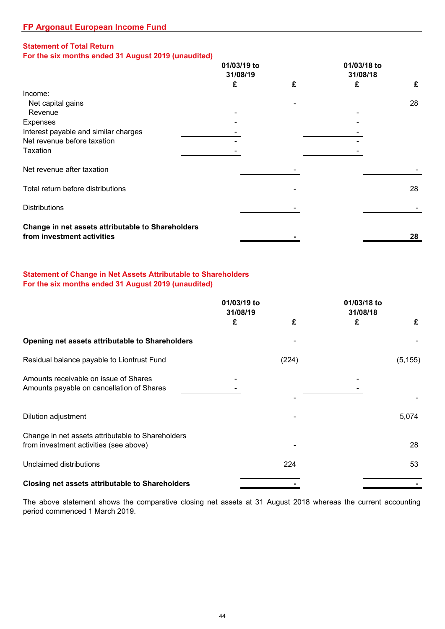# **Statement of Total Return**

# **For the six months ended 31 August 2019 (unaudited)**

|                                                                                 | 01/03/19 to |   | 01/03/18 to |    |  |
|---------------------------------------------------------------------------------|-------------|---|-------------|----|--|
|                                                                                 | 31/08/19    |   | 31/08/18    |    |  |
|                                                                                 | £           | £ | £           | £  |  |
| Income:                                                                         |             |   |             |    |  |
| Net capital gains                                                               |             |   |             | 28 |  |
| Revenue                                                                         |             |   |             |    |  |
| <b>Expenses</b>                                                                 |             |   |             |    |  |
| Interest payable and similar charges                                            |             |   |             |    |  |
| Net revenue before taxation                                                     |             |   |             |    |  |
| Taxation                                                                        |             |   |             |    |  |
| Net revenue after taxation                                                      |             |   |             |    |  |
| Total return before distributions                                               |             |   |             | 28 |  |
| <b>Distributions</b>                                                            |             |   |             |    |  |
| Change in net assets attributable to Shareholders<br>from investment activities |             |   |             | 28 |  |
|                                                                                 |             |   |             |    |  |

# **Statement of Change in Net Assets Attributable to Shareholders For the six months ended 31 August 2019 (unaudited)**

|                                                                                             | 01/03/19 to<br>31/08/19 |       | 01/03/18 to<br>31/08/18 |          |
|---------------------------------------------------------------------------------------------|-------------------------|-------|-------------------------|----------|
|                                                                                             | £                       | £     | £                       | £        |
| Opening net assets attributable to Shareholders                                             |                         |       |                         |          |
| Residual balance payable to Liontrust Fund                                                  |                         | (224) |                         | (5, 155) |
| Amounts receivable on issue of Shares<br>Amounts payable on cancellation of Shares          |                         |       |                         |          |
| Dilution adjustment                                                                         |                         |       |                         | 5,074    |
| Change in net assets attributable to Shareholders<br>from investment activities (see above) |                         |       |                         | 28       |
| Unclaimed distributions                                                                     |                         | 224   |                         | 53       |
| <b>Closing net assets attributable to Shareholders</b>                                      |                         |       |                         |          |

The above statement shows the comparative closing net assets at 31 August 2018 whereas the current accounting period commenced 1 March 2019.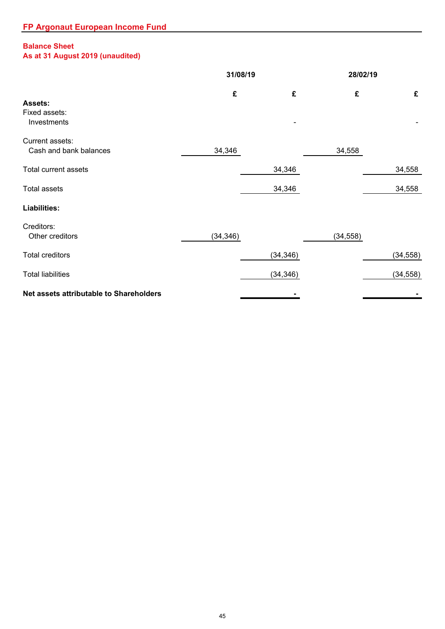# **Balance Sheet**

# **As at 31 August 2019 (unaudited)**

|                                                | 31/08/19  |           |           | 28/02/19  |  |
|------------------------------------------------|-----------|-----------|-----------|-----------|--|
| <b>Assets:</b><br>Fixed assets:<br>Investments | £         | £         | £         | £         |  |
| Current assets:<br>Cash and bank balances      | 34,346    |           | 34,558    |           |  |
| <b>Total current assets</b>                    |           | 34,346    |           | 34,558    |  |
| <b>Total assets</b>                            |           | 34,346    |           | 34,558    |  |
| <b>Liabilities:</b>                            |           |           |           |           |  |
| Creditors:<br>Other creditors                  | (34, 346) |           | (34, 558) |           |  |
| <b>Total creditors</b>                         |           | (34, 346) |           | (34, 558) |  |
| <b>Total liabilities</b>                       |           | (34, 346) |           | (34, 558) |  |
| Net assets attributable to Shareholders        |           |           |           |           |  |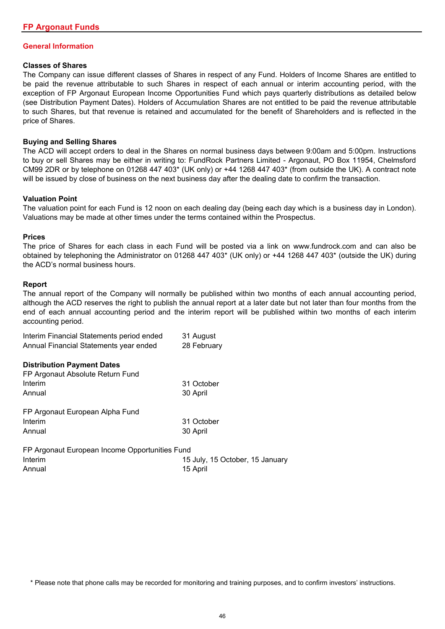#### **General Information**

#### **Classes of Shares**

The Company can issue different classes of Shares in respect of any Fund. Holders of Income Shares are entitled to be paid the revenue attributable to such Shares in respect of each annual or interim accounting period, with the exception of FP Argonaut European Income Opportunities Fund which pays quarterly distributions as detailed below (see Distribution Payment Dates). Holders of Accumulation Shares are not entitled to be paid the revenue attributable to such Shares, but that revenue is retained and accumulated for the benefit of Shareholders and is reflected in the price of Shares.

#### **Buying and Selling Shares**

The ACD will accept orders to deal in the Shares on normal business days between 9:00am and 5:00pm. Instructions to buy or sell Shares may be either in writing to: FundRock Partners Limited - Argonaut, PO Box 11954, Chelmsford CM99 2DR or by telephone on 01268 447 403\* (UK only) or +44 1268 447 403\* (from outside the UK). A contract note will be issued by close of business on the next business day after the dealing date to confirm the transaction.

#### **Valuation Point**

The valuation point for each Fund is 12 noon on each dealing day (being each day which is a business day in London). Valuations may be made at other times under the terms contained within the Prospectus.

#### **Prices**

The price of Shares for each class in each Fund will be posted via a link on www.fundrock.com and can also be obtained by telephoning the Administrator on 01268 447 403\* (UK only) or +44 1268 447 403\* (outside the UK) during the ACD's normal business hours.

#### **Report**

The annual report of the Company will normally be published within two months of each annual accounting period, although the ACD reserves the right to publish the annual report at a later date but not later than four months from the end of each annual accounting period and the interim report will be published within two months of each interim accounting period.

| Interim Financial Statements period ended | 31 August   |
|-------------------------------------------|-------------|
| Annual Financial Statements year ended    | 28 February |
|                                           |             |
| <b>Distribution Payment Dates</b>         |             |
| FP Argonaut Absolute Return Fund          |             |
| Interim                                   | 31 October  |

| Annual                          | 30 April   |
|---------------------------------|------------|
| FP Argonaut European Alpha Fund |            |
| Interim                         | 31 October |
| Annual                          | 30 April   |
|                                 |            |

| FP Argonaut European Income Opportunities Fund |                                 |
|------------------------------------------------|---------------------------------|
| Interim                                        | 15 July, 15 October, 15 January |
| Annual                                         | 15 April                        |

\* Please note that phone calls may be recorded for monitoring and training purposes, and to confirm investors' instructions.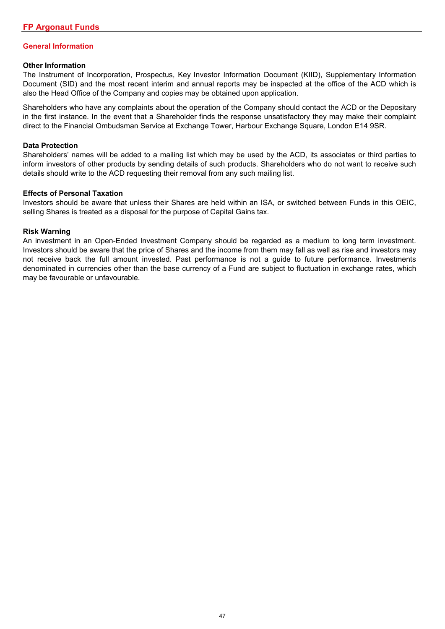## **General Information**

#### **Other Information**

The Instrument of Incorporation, Prospectus, Key Investor Information Document (KIID), Supplementary Information Document (SID) and the most recent interim and annual reports may be inspected at the office of the ACD which is also the Head Office of the Company and copies may be obtained upon application.

Shareholders who have any complaints about the operation of the Company should contact the ACD or the Depositary in the first instance. In the event that a Shareholder finds the response unsatisfactory they may make their complaint direct to the Financial Ombudsman Service at Exchange Tower, Harbour Exchange Square, London E14 9SR.

#### **Data Protection**

Shareholders' names will be added to a mailing list which may be used by the ACD, its associates or third parties to inform investors of other products by sending details of such products. Shareholders who do not want to receive such details should write to the ACD requesting their removal from any such mailing list.

#### **Effects of Personal Taxation**

Investors should be aware that unless their Shares are held within an ISA, or switched between Funds in this OEIC, selling Shares is treated as a disposal for the purpose of Capital Gains tax.

#### **Risk Warning**

An investment in an Open-Ended Investment Company should be regarded as a medium to long term investment. Investors should be aware that the price of Shares and the income from them may fall as well as rise and investors may not receive back the full amount invested. Past performance is not a guide to future performance. Investments denominated in currencies other than the base currency of a Fund are subject to fluctuation in exchange rates, which may be favourable or unfavourable.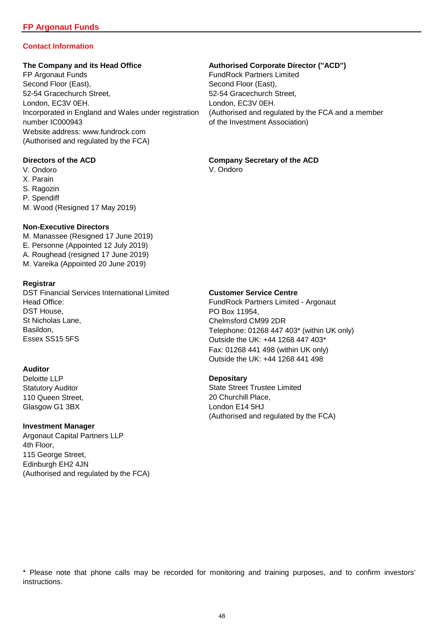# **Contact Information**

FP Argonaut Funds FundRock Partners Limited Second Floor (East), Second Floor (East), Second Floor (East), 52-54 Gracechurch Street, 52-54 Gracechurch Street, London, EC3V 0EH. London, EC3V 0EH. Incorporated in England and Wales under registration (Authorised and regulated by the FCA and a member number IC000943 **of the Investment Association**) Website address: www.fundrock.com (Authorised and regulated by the FCA)

#### **Directors of the ACD**

- V. Ondoro
- X. Parain
- S. Ragozin
- P. Spendiff
- M. Wood (Resigned 17 May 2019)

#### **Non-Executive Directors**

- M. Manassee (Resigned 17 June 2019) E. Personne (Appointed 12 July 2019) A. Roughead (resigned 17 June 2019)
- M. Vareika (Appointed 20 June 2019)

#### **Registrar**

DST Financial Services International Limited Head Office: DST House, St Nicholas Lane, Basildon, Essex SS15 5FS

### **Auditor**

Deloitte LLP Statutory Auditor 110 Queen Street, Glasgow G1 3BX

### **Investment Manager**

Argonaut Capital Partners LLP 4th Floor, 115 George Street, Edinburgh EH2 4JN (Authorised and regulated by the FCA)

#### **The Company and its Head Office Authorised Corporate Director (''ACD'')**

# **Company Secretary of the ACD**

V. Ondoro

#### **Customer Service Centre**

FundRock Partners Limited - Argonaut PO Box 11954, Chelmsford CM99 2DR Telephone: 01268 447 403\* (within UK only) Outside the UK: +44 1268 447 403\* Fax: 01268 441 498 (within UK only) Outside the UK: +44 1268 441 498

### **Depositary**

State Street Trustee Limited 20 Churchill Place, London E14 5HJ (Authorised and regulated by the FCA)

\* Please note that phone calls may be recorded for monitoring and training purposes, and to confirm investors' instructions.